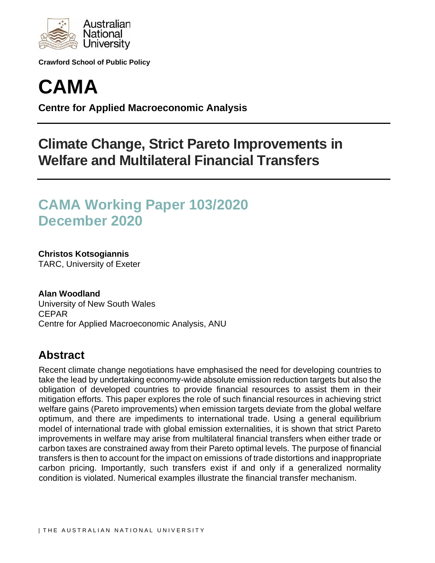

**Crawford School of Public Policy**



**Centre for Applied Macroeconomic Analysis**

# **Climate Change, Strict Pareto Improvements in Welfare and Multilateral Financial Transfers**

# **CAMA Working Paper 103/2020 December 2020**

**Christos Kotsogiannis** TARC, University of Exeter

**Alan Woodland** University of New South Wales CEPAR Centre for Applied Macroeconomic Analysis, ANU

## **Abstract**

Recent climate change negotiations have emphasised the need for developing countries to take the lead by undertaking economy-wide absolute emission reduction targets but also the obligation of developed countries to provide financial resources to assist them in their mitigation efforts. This paper explores the role of such financial resources in achieving strict welfare gains (Pareto improvements) when emission targets deviate from the global welfare optimum, and there are impediments to international trade. Using a general equilibrium model of international trade with global emission externalities, it is shown that strict Pareto improvements in welfare may arise from multilateral financial transfers when either trade or carbon taxes are constrained away from their Pareto optimal levels. The purpose of financial transfers is then to account for the impact on emissions of trade distortions and inappropriate carbon pricing. Importantly, such transfers exist if and only if a generalized normality condition is violated. Numerical examples illustrate the financial transfer mechanism.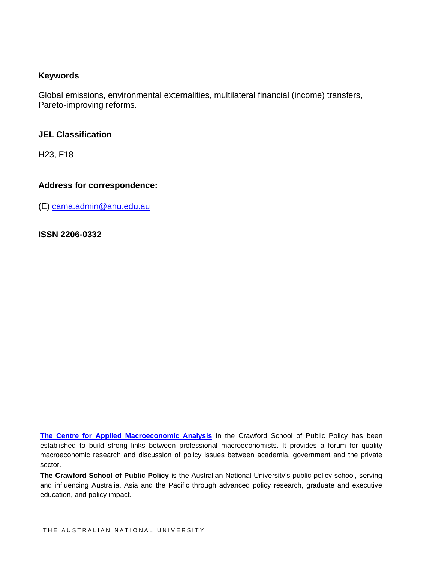#### **Keywords**

Global emissions, environmental externalities, multilateral financial (income) transfers, Pareto-improving reforms.

#### **JEL Classification**

H23, F18

#### **Address for correspondence:**

(E) [cama.admin@anu.edu.au](mailto:cama.admin@anu.edu.au)

**ISSN 2206-0332**

**[The Centre for Applied Macroeconomic Analysis](http://cama.crawford.anu.edu.au/)** in the Crawford School of Public Policy has been established to build strong links between professional macroeconomists. It provides a forum for quality macroeconomic research and discussion of policy issues between academia, government and the private sector.

**The Crawford School of Public Policy** is the Australian National University's public policy school, serving and influencing Australia, Asia and the Pacific through advanced policy research, graduate and executive education, and policy impact.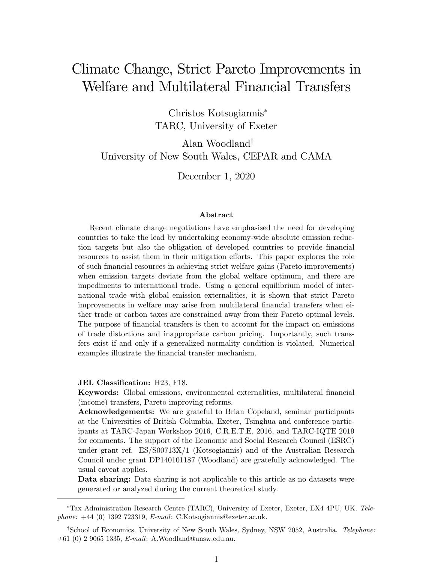# Climate Change, Strict Pareto Improvements in Welfare and Multilateral Financial Transfers

Christos Kotsogiannis TARC, University of Exeter

Alan Woodland<sup>†</sup> University of New South Wales, CEPAR and CAMA

December 1, 2020

#### Abstract

Recent climate change negotiations have emphasised the need for developing countries to take the lead by undertaking economy-wide absolute emission reduction targets but also the obligation of developed countries to provide financial resources to assist them in their mitigation efforts. This paper explores the role of such Önancial resources in achieving strict welfare gains (Pareto improvements) when emission targets deviate from the global welfare optimum, and there are impediments to international trade. Using a general equilibrium model of international trade with global emission externalities, it is shown that strict Pareto improvements in welfare may arise from multilateral financial transfers when either trade or carbon taxes are constrained away from their Pareto optimal levels. The purpose of financial transfers is then to account for the impact on emissions of trade distortions and inappropriate carbon pricing. Importantly, such transfers exist if and only if a generalized normality condition is violated. Numerical examples illustrate the financial transfer mechanism.

#### JEL Classification: H23, F18.

Keywords: Global emissions, environmental externalities, multilateral Önancial (income) transfers, Pareto-improving reforms.

Acknowledgements: We are grateful to Brian Copeland, seminar participants at the Universities of British Columbia, Exeter, Tsinghua and conference participants at TARC-Japan Workshop 2016, C.R.E.T.E. 2016, and TARC-IQTE 2019 for comments. The support of the Economic and Social Research Council (ESRC) under grant ref. ES/S00713X/1 (Kotsogiannis) and of the Australian Research Council under grant DP140101187 (Woodland) are gratefully acknowledged. The usual caveat applies.

Data sharing: Data sharing is not applicable to this article as no datasets were generated or analyzed during the current theoretical study.

Tax Administration Research Centre (TARC), University of Exeter, Exeter, EX4 4PU, UK. Telephone:  $+44$  (0) 1392 723319, E-mail: C.Kotsogiannis@exeter.ac.uk.

<sup>&</sup>lt;sup>†</sup>School of Economics, University of New South Wales, Sydney, NSW 2052, Australia. Telephone:  $+61$  (0) 2 9065 1335, E-mail: A.Woodland@unsw.edu.au.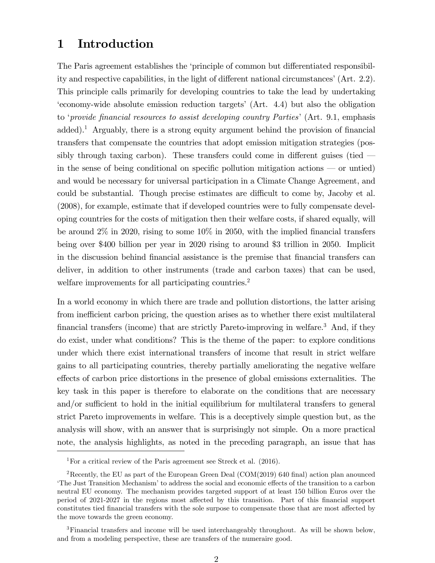## 1 Introduction

The Paris agreement establishes the 'principle of common but differentiated responsibility and respective capabilities, in the light of different national circumstances'  $(Art. 2.2)$ . This principle calls primarily for developing countries to take the lead by undertaking ëeconomy-wide absolute emission reduction targetsí (Art. 4.4) but also the obligation to 'provide financial resources to assist developing country Parties' (Art. 9.1, emphasis added).<sup>1</sup> Arguably, there is a strong equity argument behind the provision of financial transfers that compensate the countries that adopt emission mitigation strategies (possibly through taxing carbon). These transfers could come in different guises (tied  $\overline{\phantom{a}}$ in the sense of being conditional on specific pollution mitigation actions  $\sim$  or untied) and would be necessary for universal participation in a Climate Change Agreement, and could be substantial. Though precise estimates are difficult to come by, Jacoby et al. (2008), for example, estimate that if developed countries were to fully compensate developing countries for the costs of mitigation then their welfare costs, if shared equally, will be around  $2\%$  in 2020, rising to some  $10\%$  in 2050, with the implied financial transfers being over \$400 billion per year in 2020 rising to around \$3 trillion in 2050. Implicit in the discussion behind financial assistance is the premise that financial transfers can deliver, in addition to other instruments (trade and carbon taxes) that can be used, welfare improvements for all participating countries.<sup>2</sup>

In a world economy in which there are trade and pollution distortions, the latter arising from inefficient carbon pricing, the question arises as to whether there exist multilateral financial transfers (income) that are strictly Pareto-improving in welfare.<sup>3</sup> And, if they do exist, under what conditions? This is the theme of the paper: to explore conditions under which there exist international transfers of income that result in strict welfare gains to all participating countries, thereby partially ameliorating the negative welfare effects of carbon price distortions in the presence of global emissions externalities. The key task in this paper is therefore to elaborate on the conditions that are necessary and/or sufficient to hold in the initial equilibrium for multilateral transfers to general strict Pareto improvements in welfare. This is a deceptively simple question but, as the analysis will show, with an answer that is surprisingly not simple. On a more practical note, the analysis highlights, as noted in the preceding paragraph, an issue that has

<sup>1</sup>For a critical review of the Paris agreement see Streck et al. (2016).

<sup>&</sup>lt;sup>2</sup>Recently, the EU as part of the European Green Deal (COM(2019) 640 final) action plan anounced The Just Transition Mechanism' to address the social and economic effects of the transition to a carbon neutral EU economy. The mechanism provides targeted support of at least 150 billion Euros over the period of 2021-2027 in the regions most affected by this transition. Part of this financial support constitutes tied financial transfers with the sole surpose to compensate those that are most affected by the move towards the green economy.

<sup>&</sup>lt;sup>3</sup>Financial transfers and income will be used interchangeably throughout. As will be shown below, and from a modeling perspective, these are transfers of the numeraire good.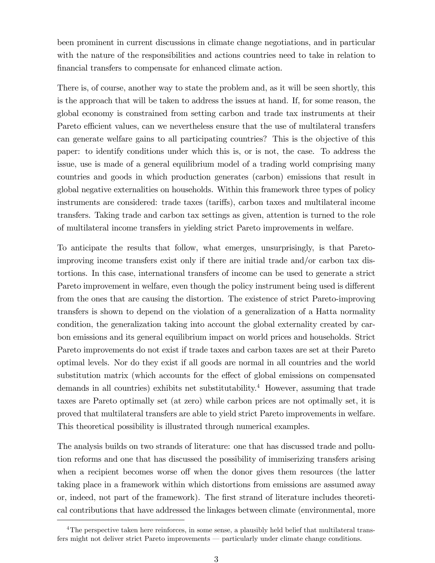been prominent in current discussions in climate change negotiations, and in particular with the nature of the responsibilities and actions countries need to take in relation to financial transfers to compensate for enhanced climate action.

There is, of course, another way to state the problem and, as it will be seen shortly, this is the approach that will be taken to address the issues at hand. If, for some reason, the global economy is constrained from setting carbon and trade tax instruments at their Pareto efficient values, can we nevertheless ensure that the use of multilateral transfers can generate welfare gains to all participating countries? This is the objective of this paper: to identify conditions under which this is, or is not, the case. To address the issue, use is made of a general equilibrium model of a trading world comprising many countries and goods in which production generates (carbon) emissions that result in global negative externalities on households. Within this framework three types of policy instruments are considered: trade taxes (tariffs), carbon taxes and multilateral income transfers. Taking trade and carbon tax settings as given, attention is turned to the role of multilateral income transfers in yielding strict Pareto improvements in welfare.

To anticipate the results that follow, what emerges, unsurprisingly, is that Paretoimproving income transfers exist only if there are initial trade and/or carbon tax distortions. In this case, international transfers of income can be used to generate a strict Pareto improvement in welfare, even though the policy instrument being used is different from the ones that are causing the distortion. The existence of strict Pareto-improving transfers is shown to depend on the violation of a generalization of a Hatta normality condition, the generalization taking into account the global externality created by carbon emissions and its general equilibrium impact on world prices and households. Strict Pareto improvements do not exist if trade taxes and carbon taxes are set at their Pareto optimal levels. Nor do they exist if all goods are normal in all countries and the world substitution matrix (which accounts for the effect of global emissions on compensated demands in all countries) exhibits net substitutability.<sup>4</sup> However, assuming that trade taxes are Pareto optimally set (at zero) while carbon prices are not optimally set, it is proved that multilateral transfers are able to yield strict Pareto improvements in welfare. This theoretical possibility is illustrated through numerical examples.

The analysis builds on two strands of literature: one that has discussed trade and pollution reforms and one that has discussed the possibility of immiserizing transfers arising when a recipient becomes worse off when the donor gives them resources (the latter taking place in a framework within which distortions from emissions are assumed away or, indeed, not part of the framework). The first strand of literature includes theoretical contributions that have addressed the linkages between climate (environmental, more

<sup>&</sup>lt;sup>4</sup>The perspective taken here reinforces, in some sense, a plausibly held belief that multilateral transfers might not deliver strict Pareto improvements — particularly under climate change conditions.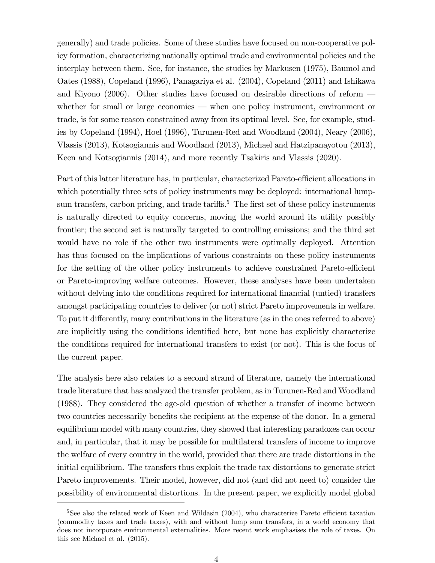generally) and trade policies. Some of these studies have focused on non-cooperative policy formation, characterizing nationally optimal trade and environmental policies and the interplay between them. See, for instance, the studies by Markusen (1975), Baumol and Oates (1988), Copeland (1996), Panagariya et al. (2004), Copeland (2011) and Ishikawa and Kiyono (2006). Other studies have focused on desirable directions of reform  $$ whether for small or large economies  $-$  when one policy instrument, environment or trade, is for some reason constrained away from its optimal level. See, for example, studies by Copeland (1994), Hoel (1996), Turunen-Red and Woodland (2004), Neary (2006), Vlassis (2013), Kotsogiannis and Woodland (2013), Michael and Hatzipanayotou (2013), Keen and Kotsogiannis (2014), and more recently Tsakiris and Vlassis (2020).

Part of this latter literature has, in particular, characterized Pareto-efficient allocations in which potentially three sets of policy instruments may be deployed: international lumpsum transfers, carbon pricing, and trade tariffs.<sup>5</sup> The first set of these policy instruments is naturally directed to equity concerns, moving the world around its utility possibly frontier; the second set is naturally targeted to controlling emissions; and the third set would have no role if the other two instruments were optimally deployed. Attention has thus focused on the implications of various constraints on these policy instruments for the setting of the other policy instruments to achieve constrained Pareto-efficient or Pareto-improving welfare outcomes. However, these analyses have been undertaken without delving into the conditions required for international financial (untied) transfers amongst participating countries to deliver (or not) strict Pareto improvements in welfare. To put it differently, many contributions in the literature (as in the ones referred to above) are implicitly using the conditions identified here, but none has explicitly characterize the conditions required for international transfers to exist (or not). This is the focus of the current paper.

The analysis here also relates to a second strand of literature, namely the international trade literature that has analyzed the transfer problem, as in Turunen-Red and Woodland (1988). They considered the age-old question of whether a transfer of income between two countries necessarily benefits the recipient at the expense of the donor. In a general equilibrium model with many countries, they showed that interesting paradoxes can occur and, in particular, that it may be possible for multilateral transfers of income to improve the welfare of every country in the world, provided that there are trade distortions in the initial equilibrium. The transfers thus exploit the trade tax distortions to generate strict Pareto improvements. Their model, however, did not (and did not need to) consider the possibility of environmental distortions. In the present paper, we explicitly model global

 $5$ See also the related work of Keen and Wildasin (2004), who characterize Pareto efficient taxation (commodity taxes and trade taxes), with and without lump sum transfers, in a world economy that does not incorporate environmental externalities. More recent work emphasises the role of taxes. On this see Michael et al. (2015).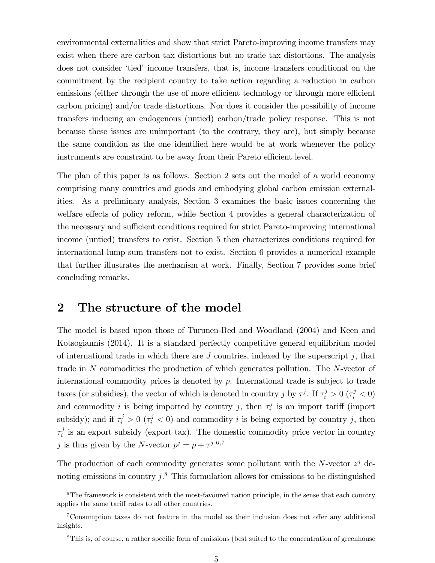environmental externalities and show that strict Pareto-improving income transfers may exist when there are carbon tax distortions but no trade tax distortions. The analysis does not consider 'tied' income transfers, that is, income transfers conditional on the commitment by the recipient country to take action regarding a reduction in carbon emissions (either through the use of more efficient technology or through more efficient carbon pricing) and/or trade distortions. Nor does it consider the possibility of income transfers inducing an endogenous (untied) carbon/trade policy response. This is not because these issues are unimportant (to the contrary, they are), but simply because the same condition as the one identified here would be at work whenever the policy instruments are constraint to be away from their Pareto efficient level.

The plan of this paper is as follows. Section 2 sets out the model of a world economy comprising many countries and goods and embodying global carbon emission externalities. As a preliminary analysis, Section 3 examines the basic issues concerning the welfare effects of policy reform, while Section 4 provides a general characterization of the necessary and sufficient conditions required for strict Pareto-improving international income (untied) transfers to exist. Section 5 then characterizes conditions required for international lump sum transfers not to exist. Section 6 provides a numerical example that further illustrates the mechanism at work. Finally, Section 7 provides some brief concluding remarks.

## 2 The structure of the model

The model is based upon those of Turunen-Red and Woodland (2004) and Keen and Kotsogiannis (2014). It is a standard perfectly competitive general equilibrium model of international trade in which there are  $J$  countries, indexed by the superscript  $j$ , that trade in N commodities the production of which generates pollution. The N-vector of international commodity prices is denoted by  $p$ . International trade is subject to trade taxes (or subsidies), the vector of which is denoted in country j by  $\tau^j$ . If  $\tau^j_i > 0$  ( $\tau^j_i < 0$ ) and commodity i is being imported by country j, then  $\tau_i^j$  $i<sub>i</sub>$  is an import tariff (import subsidy); and if  $\tau_i^j > 0$  ( $\tau_i^j < 0$ ) and commodity i is being exported by country j, then  $\tau_i^j$  $i<sub>i</sub>$  is an export subsidy (export tax). The domestic commodity price vector in country j is thus given by the N-vector  $p^j = p + \tau^{j.6,7}$ 

The production of each commodity generates some pollutant with the N-vector  $z^j$  denoting emissions in country  $j$ <sup>8</sup>. This formulation allows for emissions to be distinguished

 $6$ The framework is consistent with the most-favoured nation principle, in the sense that each country applies the same tariff rates to all other countries.

 $7$ Consumption taxes do not feature in the model as their inclusion does not offer any additional insights.

<sup>&</sup>lt;sup>8</sup>This is, of course, a rather specific form of emissions (best suited to the concentration of greenhouse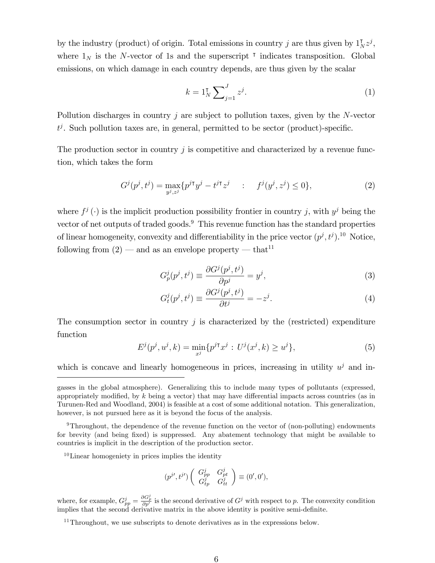by the industry (product) of origin. Total emissions in country j are thus given by  $1_N^{\dagger} z^j$ , where  $1_N$  is the N-vector of 1s and the superscript  $\tau$  indicates transposition. Global emissions, on which damage in each country depends, are thus given by the scalar

$$
k = 1_N^{\mathsf{T}} \sum_{j=1}^{J} z^j. \tag{1}
$$

Pollution discharges in country j are subject to pollution taxes, given by the  $N$ -vector  $t^j$ . Such pollution taxes are, in general, permitted to be sector (product)-specific.

The production sector in country  $j$  is competitive and characterized by a revenue function, which takes the form

$$
G^{j}(p^{j},t^{j}) = \max_{y^{j},z^{j}} \{ p^{j\intercal}y^{j} - t^{j\intercal}z^{j} \quad : \quad f^{j}(y^{j},z^{j}) \leq 0 \},\tag{2}
$$

where  $f^j(\cdot)$  is the implicit production possibility frontier in country j, with  $y^j$  being the vector of net outputs of traded goods.<sup>9</sup> This revenue function has the standard properties of linear homogeneity, convexity and differentiability in the price vector  $(p^j, t^j)$ .<sup>10</sup> Notice, following from  $(2)$  – and as an envelope property – that<sup>11</sup>

$$
G_p^j(p^j, t^j) \equiv \frac{\partial G^j(p^j, t^j)}{\partial p^j} = y^j,\tag{3}
$$

$$
G_t^j(p^j, t^j) \equiv \frac{\partial G^j(p^j, t^j)}{\partial t^j} = -z^j.
$$
\n(4)

The consumption sector in country  $j$  is characterized by the (restricted) expenditure function

$$
E^{j}(p^{j}, u^{j}, k) = \min_{x^{j}} \{ p^{j\intercal} x^{j} : U^{j}(x^{j}, k) \ge u^{j} \},
$$
\n(5)

which is concave and linearly homogeneous in prices, increasing in utility  $u^j$  and in-

<sup>9</sup>Throughout, the dependence of the revenue function on the vector of (non-polluting) endowments for brevity (and being Öxed) is suppressed. Any abatement technology that might be available to countries is implicit in the description of the production sector.

 $10$ Linear homogeniety in prices implies the identity

$$
(p^{j\prime}, t^{j\prime})\left(\begin{array}{cc} G_{pp}^j & G_{pt}^j \\ G_{tp}^j & G_{tt}^j \end{array}\right) \equiv (0', 0'),
$$

where, for example,  $G_{pp}^j = \frac{\partial G_p^j}{\partial p'}$  is the second derivative of  $G^j$  with respect to p. The convexity condition implies that the second derivative matrix in the above identity is positive semi-definite.

 $11$ Throughout, we use subscripts to denote derivatives as in the expressions below.

gasses in the global atmosphere). Generalizing this to include many types of pollutants (expressed, appropriately modified, by  $k$  being a vector) that may have differential impacts across countries (as in Turunen-Red and Woodland, 2004) is feasible at a cost of some additional notation. This generalization, however, is not pursued here as it is beyond the focus of the analysis.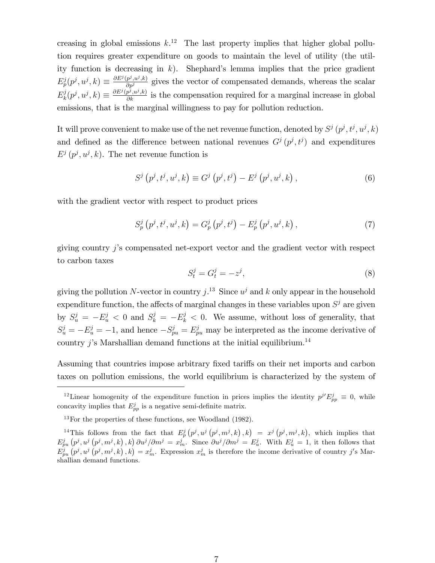creasing in global emissions  $k<sup>12</sup>$ . The last property implies that higher global pollution requires greater expenditure on goods to maintain the level of utility (the utility function is decreasing in k). Shephard's lemma implies that the price gradient  $E_p^j(p^j, u^j, k) \equiv \frac{\partial E^j(p^j, u^j, k)}{\partial p^j}$  gives the vector of compensated demands, whereas the scalar  $E^j_k$  $k(p^j, u^j, k) \equiv \frac{\partial E^j(p^j, u^j, k)}{\partial k}$  is the compensation required for a marginal increase in global emissions, that is the marginal willingness to pay for pollution reduction.

It will prove convenient to make use of the net revenue function, denoted by  $S^j(p^j, t^j, u^j, k)$ and defined as the difference between national revenues  $G^j(p^j, t^j)$  and expenditures  $E^j(p^j, u^j, k)$ . The net revenue function is

$$
S^{j}(p^{j},t^{j},u^{j},k) \equiv G^{j}(p^{j},t^{j}) - E^{j}(p^{j},u^{j},k), \qquad (6)
$$

with the gradient vector with respect to product prices

$$
S_p^j(p^j, t^j, u^j, k) = G_p^j(p^j, t^j) - E_p^j(p^j, u^j, k), \qquad (7)
$$

giving country  $j$ 's compensated net-export vector and the gradient vector with respect to carbon taxes

$$
S_t^j = G_t^j = -z^j,\tag{8}
$$

giving the pollution N-vector in country  $j^{13}$ . Since  $u^j$  and k only appear in the household expenditure function, the affects of marginal changes in these variables upon  $S^j$  are given by  $S_u^j = -E_u^j < 0$  and  $S_k^j = -E_k^j < 0$ . We assume, without loss of generality, that  $S_u^j = -E_u^j = -1$ , and hence  $-S_{pu}^j = E_{pu}^j$  may be interpreted as the income derivative of country j's Marshallian demand functions at the initial equilibrium.<sup>14</sup>

Assuming that countries impose arbitrary fixed tariffs on their net imports and carbon taxes on pollution emissions, the world equilibrium is characterized by the system of

<sup>&</sup>lt;sup>12</sup>Linear homogenity of the expenditure function in prices implies the identity  $p^{j'} E_{pp}^j \equiv 0$ , while concavity implies that  $E_{pp}^j$  is a negative semi-definite matrix.

 $13$ For the properties of these functions, see Woodland (1982).

<sup>&</sup>lt;sup>14</sup>This follows from the fact that  $E_p^j(p^j, u^j(p^j, m^j, k), k) = x^j(p^j, m^j, k)$ , which implies that  $E_{pu}^j(p^j, u^j(p^j, m^j, k), k) \frac{\partial u^j}{\partial m^j} = x_m^j$ . Since  $\frac{\partial u^j}{\partial m^j} = E_u^j$ . With  $E_u^j = 1$ , it then follows that  $\hat{E}_{pu}^{j}(\hat{p}^{j}, u^{j}(\hat{p}^{j}, m^{j}, k), k) = x_{m}^{j}$ . Expression  $x_{m}^{j}$  is therefore the income derivative of country j's Marshallian demand functions.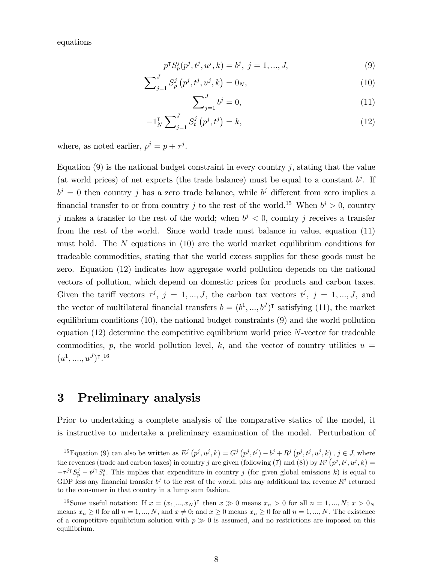equations

$$
p^{\mathsf{T}} S_p^j(p^j, t^j, u^j, k) = b^j, \ j = 1, ..., J,
$$
\n(9)

$$
\sum_{j=1}^{J} S_p^j(p^j, t^j, u^j, k) = 0_N,
$$
\n(10)

$$
\sum_{j=1}^{J} b^j = 0,\t\t(11)
$$

$$
-1_N^{\dagger} \sum_{j=1}^{J} S_t^j \left( p^j, t^j \right) = k,\tag{12}
$$

where, as noted earlier,  $p^j = p + \tau^j$ .

Equation  $(9)$  is the national budget constraint in every country j, stating that the value (at world prices) of net exports (the trade balance) must be equal to a constant  $b^j$ . If  $b^j = 0$  then country j has a zero trade balance, while  $b^j$  different from zero implies a financial transfer to or from country j to the rest of the world.<sup>15</sup> When  $b^j > 0$ , country j makes a transfer to the rest of the world; when  $b^j < 0$ , country j receives a transfer from the rest of the world. Since world trade must balance in value, equation (11) must hold. The N equations in (10) are the world market equilibrium conditions for tradeable commodities, stating that the world excess supplies for these goods must be zero. Equation (12) indicates how aggregate world pollution depends on the national vectors of pollution, which depend on domestic prices for products and carbon taxes. Given the tariff vectors  $\tau^j$ ,  $j = 1, ..., J$ , the carbon tax vectors  $t^j$ ,  $j = 1, ..., J$ , and the vector of multilateral financial transfers  $b = (b^1, ..., b^J)$ <sup>T</sup> satisfying (11), the market equilibrium conditions (10), the national budget constraints (9) and the world pollution equation  $(12)$  determine the competitive equilibrium world price N-vector for tradeable commodities, p, the world pollution level, k, and the vector of country utilities  $u =$  $(u^1, \ldots, u^J)$ t.<sup>16</sup>

### 3 Preliminary analysis

Prior to undertaking a complete analysis of the comparative statics of the model, it is instructive to undertake a preliminary examination of the model. Perturbation of

<sup>&</sup>lt;sup>15</sup>Equation (9) can also be written as  $E^j(p^j, u^j, k) = G^j(p^j, t^j) - b^j + R^j(p^j, t^j, u^j, k)$ ,  $j \in J$ , where the revenues (trade and carbon taxes) in country j are given (following (7) and (8)) by  $R^j(p^j, t^j, u^j, k) =$  $-\tau^{j\tau}S_p^j - t^{j\tau}S_t^j$ . This implies that expenditure in country j (for given global emissions k) is equal to GDP less any financial transfer  $b^j$  to the rest of the world, plus any additional tax revenue  $R^j$  returned to the consumer in that country in a lump sum fashion.

<sup>&</sup>lt;sup>16</sup>Some useful notation: If  $x = (x_1, ..., x_N)$ <sup>†</sup> then  $x \ge 0$  means  $x_n > 0$  for all  $n = 1, ..., N; x > 0_N$ means  $x_n \ge 0$  for all  $n = 1, ..., N$ , and  $x \ne 0$ ; and  $x \ge 0$  means  $x_n \ge 0$  for all  $n = 1, ..., N$ . The existence of a competitive equilibrium solution with  $p \gg 0$  is assumed, and no restrictions are imposed on this equilibrium.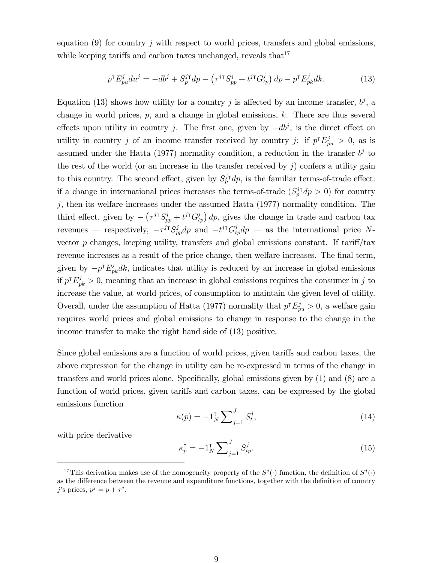equation  $(9)$  for country j with respect to world prices, transfers and global emissions, while keeping tariffs and carbon taxes unchanged, reveals that  $17$ 

$$
p^{\mathsf{T}} E_{pu}^j du^j = -db^j + S_p^{j\mathsf{T}} dp - \left(\tau^{j\mathsf{T}} S_{pp}^j + t^{j\mathsf{T}} G_{tp}^j\right) dp - p^{\mathsf{T}} E_{pk}^j dk. \tag{13}
$$

Equation (13) shows how utility for a country j is affected by an income transfer,  $b^j$ , a change in world prices,  $p$ , and a change in global emissions,  $k$ . There are thus several effects upon utility in country j. The first one, given by  $-db^j$ , is the direct effect on utility in country j of an income transfer received by country j: if  $p^{\dagger} E_{pu}^j > 0$ , as is assumed under the Hatta (1977) normality condition, a reduction in the transfer  $b^j$  to the rest of the world (or an increase in the transfer received by  $j$ ) confers a utility gain to this country. The second effect, given by  $S_p^{j\dagger}dp$ , is the familiar terms-of-trade effect: if a change in international prices increases the terms-of-trade  $(S_p^j \dagger dp > 0)$  for country  $j$ , then its welfare increases under the assumed Hatta  $(1977)$  normality condition. The third effect, given by  $-\left(\tau^{j\dagger}S_{pp}^j + t^{j\dagger}G_{tp}^j\right)dp$ , gives the change in trade and carbon tax revenues — respectively,  $-\tau^{j\dagger} S_{pp}^j dp$  and  $-t^{j\dagger} G_{tp}^j dp$  — as the international price Nvector p changes, keeping utility, transfers and global emissions constant. If  $\text{tariff/tax}$ revenue increases as a result of the price change, then welfare increases. The final term, given by  $-p^{\dagger} E_{pk}^{j} dk$ , indicates that utility is reduced by an increase in global emissions if  $p^{\dagger} E_{pk}^j > 0$ , meaning that an increase in global emissions requires the consumer in j to increase the value, at world prices, of consumption to maintain the given level of utility. Overall, under the assumption of Hatta (1977) normality that  $p^{\dagger} E_{pu}^j > 0$ , a welfare gain requires world prices and global emissions to change in response to the change in the income transfer to make the right hand side of (13) positive.

Since global emissions are a function of world prices, given tariffs and carbon taxes, the above expression for the change in utility can be re-expressed in terms of the change in transfers and world prices alone. Specifically, global emissions given by  $(1)$  and  $(8)$  are a function of world prices, given tariffs and carbon taxes, can be expressed by the global emissions function

$$
\kappa(p) = -1_N^{\mathsf{T}} \sum_{j=1}^{J} S_t^j,\tag{14}
$$

with price derivative

$$
\kappa_p^{\mathsf{T}} = -1_N^{\mathsf{T}} \sum_{j=1}^J S_{tp}^j. \tag{15}
$$

<sup>&</sup>lt;sup>17</sup>This derivation makes use of the homogeneity property of the  $S^j(\cdot)$  function, the definition of  $S^j(\cdot)$ as the difference between the revenue and expenditure functions, together with the definition of country j's prices,  $p^j = p + \tau^j$ .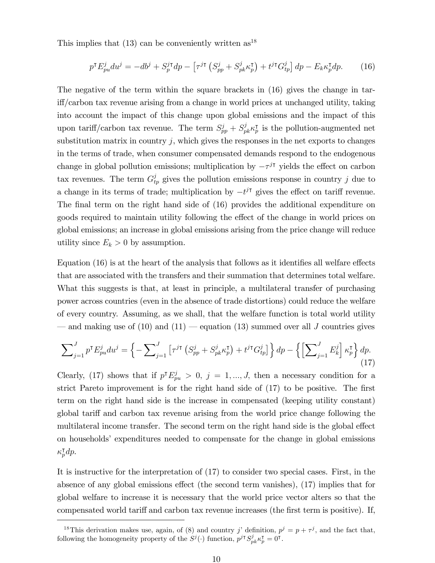This implies that  $(13)$  can be conveniently written as<sup>18</sup>

$$
p^{\mathsf{T}} E_{pu}^j du^j = -db^j + S_p^{j\mathsf{T}} dp - \left[ \tau^{j\mathsf{T}} \left( S_{pp}^j + S_{pk}^j \kappa_p^{\mathsf{T}} \right) + t^{j\mathsf{T}} G_{tp}^j \right] dp - E_k \kappa_p^{\mathsf{T}} dp. \tag{16}
$$

The negative of the term within the square brackets in (16) gives the change in tari§/carbon tax revenue arising from a change in world prices at unchanged utility, taking into account the impact of this change upon global emissions and the impact of this upon tariff/carbon tax revenue. The term  $S_{pp}^j + S_{pk}^j \kappa_p^{\intercal}$  is the pollution-augmented net substitution matrix in country  $j$ , which gives the responses in the net exports to changes in the terms of trade, when consumer compensated demands respond to the endogenous change in global pollution emissions; multiplication by  $-\tau^{j\tau}$  yields the effect on carbon tax revenues. The term  $G_{tp}^j$  gives the pollution emissions response in country j due to a change in its terms of trade; multiplication by  $-t^{j\dagger}$  gives the effect on tariff revenue. The final term on the right hand side of  $(16)$  provides the additional expenditure on goods required to maintain utility following the effect of the change in world prices on global emissions; an increase in global emissions arising from the price change will reduce utility since  $E_k > 0$  by assumption.

Equation  $(16)$  is at the heart of the analysis that follows as it identifies all welfare effects that are associated with the transfers and their summation that determines total welfare. What this suggests is that, at least in principle, a multilateral transfer of purchasing power across countries (even in the absence of trade distortions) could reduce the welfare of every country. Assuming, as we shall, that the welfare function is total world utility  $\sim$  and making use of (10) and (11)  $\sim$  equation (13) summed over all J countries gives

$$
\sum_{j=1}^{J} p^{\mathsf{T}} E_{pu}^{j} du^{j} = \left\{ -\sum_{j=1}^{J} \left[ \tau^{j\mathsf{T}} \left( S_{pp}^{j} + S_{pk}^{j} \kappa_{p}^{\mathsf{T}} \right) + t^{j\mathsf{T}} G_{tp}^{j} \right] \right\} dp - \left\{ \left[ \sum_{j=1}^{J} E_{k}^{j} \right] \kappa_{p}^{\mathsf{T}} \right\} dp. \tag{17}
$$

Clearly, (17) shows that if  $p^{\dagger} E_{pu}^j > 0$ ,  $j = 1, ..., J$ , then a necessary condition for a strict Pareto improvement is for the right hand side of  $(17)$  to be positive. The first term on the right hand side is the increase in compensated (keeping utility constant) global tariff and carbon tax revenue arising from the world price change following the multilateral income transfer. The second term on the right hand side is the global effect on householdsí expenditures needed to compensate for the change in global emissions  $\kappa_p^{\intercal} dp.$ 

It is instructive for the interpretation of (17) to consider two special cases. First, in the absence of any global emissions effect (the second term vanishes),  $(17)$  implies that for global welfare to increase it is necessary that the world price vector alters so that the compensated world tariff and carbon tax revenue increases (the first term is positive). If,

<sup>&</sup>lt;sup>18</sup>This derivation makes use, again, of (8) and country j' definition,  $p^j = p + \tau^j$ , and the fact that, following the homogeneity property of the  $S^j(\cdot)$  function,  $p^{j\intercal} S^j_{pk} \kappa_p^{\intercal} = 0^{\intercal}$ .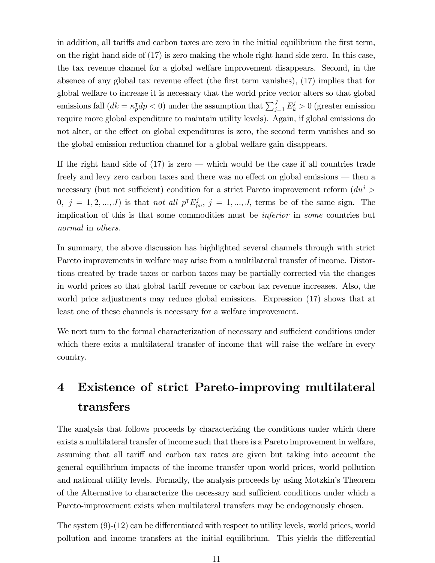in addition, all tariffs and carbon taxes are zero in the initial equilibrium the first term, on the right hand side of (17) is zero making the whole right hand side zero. In this case, the tax revenue channel for a global welfare improvement disappears. Second, in the absence of any global tax revenue effect (the first term vanishes),  $(17)$  implies that for global welfare to increase it is necessary that the world price vector alters so that global emissions fall  $(dk = \kappa_p^{\mathsf{T}} dp < 0)$  under the assumption that  $\sum_{j=1}^{J} E_k^j > 0$  (greater emission require more global expenditure to maintain utility levels). Again, if global emissions do not alter, or the effect on global expenditures is zero, the second term vanishes and so the global emission reduction channel for a global welfare gain disappears.

If the right hand side of  $(17)$  is zero – which would be the case if all countries trade freely and levy zero carbon taxes and there was no effect on global emissions  $-$  then a necessary (but not sufficient) condition for a strict Pareto improvement reform  $(du^{j} >$  $(0, j = 1, 2, \ldots, J)$  is that not all  $p^{\mathsf{T}} E_{pu}^j$ ,  $j = 1, \ldots, J$ , terms be of the same sign. The implication of this is that some commodities must be inferior in some countries but normal in others.

In summary, the above discussion has highlighted several channels through with strict Pareto improvements in welfare may arise from a multilateral transfer of income. Distortions created by trade taxes or carbon taxes may be partially corrected via the changes in world prices so that global tariff revenue or carbon tax revenue increases. Also, the world price adjustments may reduce global emissions. Expression (17) shows that at least one of these channels is necessary for a welfare improvement.

We next turn to the formal characterization of necessary and sufficient conditions under which there exits a multilateral transfer of income that will raise the welfare in every country.

## 4 Existence of strict Pareto-improving multilateral transfers

The analysis that follows proceeds by characterizing the conditions under which there exists a multilateral transfer of income such that there is a Pareto improvement in welfare, assuming that all tariff and carbon tax rates are given but taking into account the general equilibrium impacts of the income transfer upon world prices, world pollution and national utility levels. Formally, the analysis proceeds by using Motzkin's Theorem of the Alternative to characterize the necessary and sufficient conditions under which a Pareto-improvement exists when multilateral transfers may be endogenously chosen.

The system  $(9)-(12)$  can be differentiated with respect to utility levels, world prices, world pollution and income transfers at the initial equilibrium. This yields the differential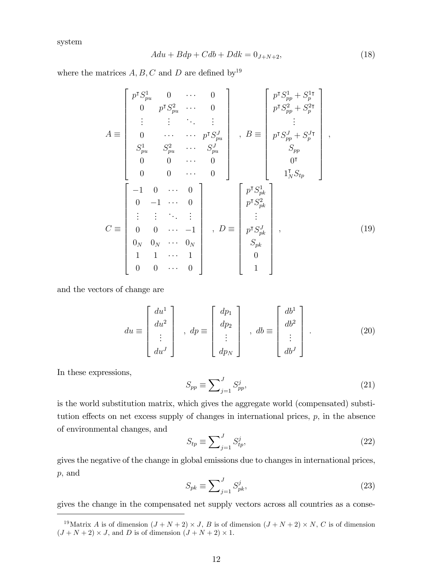system

$$
Adu + Bdp + Cdb + Ddk = 0J+N+2, \qquad (18)
$$

where the matrices  $A, B, C$  and D are defined by<sup>19</sup>

A 2 6 6 6 6 6 6 6 6 6 6 6 6 4 p |S 1 pu 0 0 0 p |S 2 pu 0 . . . . . . . . . . . . 0 p |S J pu S 1 pu S 2 pu S J pu 0 0 0 0 0 0 3 7 7 7 7 7 7 7 7 7 7 7 7 5 ; B 2 6 6 6 6 6 6 6 6 6 6 6 6 4 p |S 1 pp + S 1| p p |S 2 pp + S 2| p . . . p |S J pp + S J| p Spp 0 | 1 | <sup>N</sup> Stp 3 7 7 7 7 7 7 7 7 7 7 7 7 5 ; C 2 6 6 6 6 6 6 6 6 6 6 6 6 4 1 0 0 0 1 0 . . . . . . . . . . . . 0 0 1 0<sup>N</sup> 0<sup>N</sup> 0<sup>N</sup> 1 1 1 0 0 0 3 7 7 7 7 7 7 7 7 7 7 7 7 5 ; D 2 6 6 6 6 6 6 6 6 6 6 6 6 4 p |S 1 pk p |S 2 pk . . . p |S J pk Spk 0 1 3 7 7 7 7 7 7 7 7 7 7 7 7 5 ; (19)

and the vectors of change are

$$
du \equiv \begin{bmatrix} du^1 \\ du^2 \\ \vdots \\ du^J \end{bmatrix} , \, dp \equiv \begin{bmatrix} dp_1 \\ dp_2 \\ \vdots \\ dp_N \end{bmatrix} , \, db \equiv \begin{bmatrix} db^1 \\ db^2 \\ \vdots \\ db^J \end{bmatrix} . \tag{20}
$$

In these expressions,

$$
S_{pp} \equiv \sum_{j=1}^{J} S_{pp}^{j},\tag{21}
$$

is the world substitution matrix, which gives the aggregate world (compensated) substitution effects on net excess supply of changes in international prices,  $p$ , in the absence of environmental changes, and

$$
S_{tp} \equiv \sum_{j=1}^{J} S_{tp}^j,\tag{22}
$$

gives the negative of the change in global emissions due to changes in international prices, p; and

$$
S_{pk} \equiv \sum_{j=1}^{J} S_{pk}^{j},\tag{23}
$$

gives the change in the compensated net supply vectors across all countries as a conse-

<sup>&</sup>lt;sup>19</sup>Matrix A is of dimension  $(J+N+2) \times J$ , B is of dimension  $(J+N+2) \times N$ , C is of dimension  $(J+N+2) \times J$ , and D is of dimension  $(J+N+2) \times 1$ .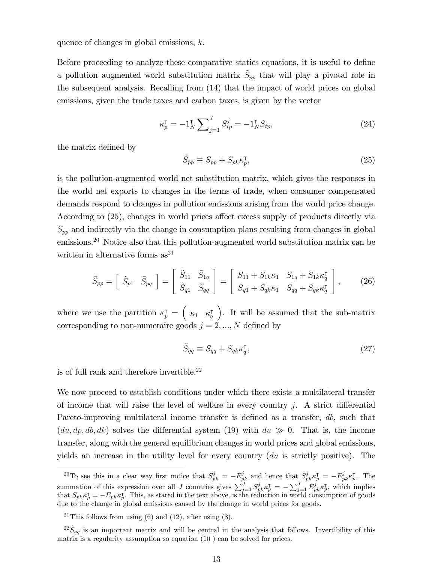quence of changes in global emissions, k.

Before proceeding to analyze these comparative statics equations, it is useful to define a pollution augmented world substitution matrix  $\tilde{S}_{pp}$  that will play a pivotal role in the subsequent analysis. Recalling from (14) that the impact of world prices on global emissions, given the trade taxes and carbon taxes, is given by the vector

$$
\kappa_p^{\mathsf{T}} = -1_N^{\mathsf{T}} \sum_{j=1}^J S_{tp}^j = -1_N^{\mathsf{T}} S_{tp},\tag{24}
$$

the matrix defined by

$$
\tilde{S}_{pp} \equiv S_{pp} + S_{pk} \kappa_p^{\mathsf{T}},\tag{25}
$$

is the pollution-augmented world net substitution matrix, which gives the responses in the world net exports to changes in the terms of trade, when consumer compensated demands respond to changes in pollution emissions arising from the world price change. According to (25), changes in world prices affect excess supply of products directly via  $S_{pp}$  and indirectly via the change in consumption plans resulting from changes in global emissions.<sup>20</sup> Notice also that this pollution-augmented world substitution matrix can be written in alternative forms  $as^{21}$ 

$$
\tilde{S}_{pp} = \begin{bmatrix} \tilde{S}_{p1} & \tilde{S}_{pq} \end{bmatrix} = \begin{bmatrix} \tilde{S}_{11} & \tilde{S}_{1q} \\ \tilde{S}_{q1} & \tilde{S}_{qq} \end{bmatrix} = \begin{bmatrix} S_{11} + S_{1k}\kappa_1 & S_{1q} + S_{1k}\kappa_q^{\mathsf{T}} \\ S_{q1} + S_{qk}\kappa_1 & S_{qq} + S_{qk}\kappa_q^{\mathsf{T}} \end{bmatrix},\tag{26}
$$

where we use the partition  $\kappa_p^{\dagger} = \begin{pmatrix} \kappa_1 & \kappa_q^{\dagger} \end{pmatrix}$  . It will be assumed that the sub-matrix corresponding to non-numeraire goods  $j = 2, ..., N$  defined by

$$
\tilde{S}_{qq} \equiv S_{qq} + S_{qk} \kappa_q^{\mathsf{T}},\tag{27}
$$

is of full rank and therefore invertible.  $\!\!^{22}$ 

We now proceed to establish conditions under which there exists a multilateral transfer of income that will raise the level of welfare in every country  $j$ . A strict differential Pareto-improving multilateral income transfer is defined as a transfer,  $db$ , such that  $(du, dp, db, dk)$  solves the differential system (19) with  $du \gg 0$ . That is, the income transfer, along with the general equilibrium changes in world prices and global emissions, yields an increase in the utility level for every country (du is strictly positive). The

<sup>&</sup>lt;sup>20</sup>To see this in a clear way first notice that  $S_{pk}^j = -E_{pk}^j$  and hence that  $S_{pk}^j \kappa_p^{\intercal} = -E_{pk}^j \kappa_p^{\intercal}$ . The summation of this expression over all J countries gives  $\sum_{j=1}^{J} S_{pk}^{j} \kappa_{p}^{\intercal} = -\sum_{j=1}^{J} E_{pk}^{j} \kappa_{p}^{\intercal}$ , which implies that  $S_{pk} \kappa_p^{\intercal} = -E_{pk} \kappa_p^{\intercal}$ . This, as stated in the text above, is the reduction in world consumption of goods due to the change in global emissions caused by the change in world prices for goods.

<sup>&</sup>lt;sup>21</sup>This follows from using  $(6)$  and  $(12)$ , after using  $(8)$ .

 $^{22}S_{qq}$  is an important matrix and will be central in the analysis that follows. Invertibility of this matrix is a regularity assumption so equation (10 ) can be solved for prices.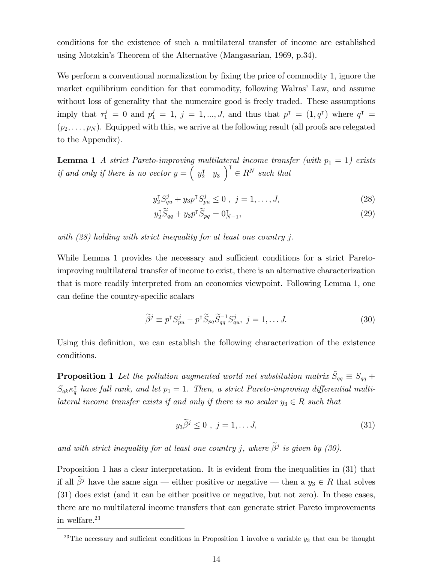conditions for the existence of such a multilateral transfer of income are established using Motzkin's Theorem of the Alternative (Mangasarian, 1969, p.34).

We perform a conventional normalization by fixing the price of commodity 1, ignore the market equilibrium condition for that commodity, following Walras' Law, and assume without loss of generality that the numeraire good is freely traded. These assumptions imply that  $\tau_1^j = 0$  and  $p_1^j = 1, j = 1, ..., J$ , and thus that  $p^{\dagger} = (1, q^{\dagger})$  where  $q^{\dagger} =$  $(p_2, \ldots, p_N)$ . Equipped with this, we arrive at the following result (all proofs are relegated to the Appendix).

**Lemma 1** A strict Pareto-improving multilateral income transfer (with  $p_1 = 1$ ) exists if and only if there is no vector  $y = \begin{pmatrix} y_2^{\intercal} & y_3 \end{pmatrix}^{\intercal} \in R^N$  such that

$$
y_2^{\mathsf{T}} S_{qu}^j + y_3 p^{\mathsf{T}} S_{pu}^j \le 0 \ , \ j = 1, \dots, J,
$$
 (28)

$$
y_2^{\mathsf{T}} \widetilde{S}_{qq} + y_3 p^{\mathsf{T}} \widetilde{S}_{pq} = 0_{N-1}^{\mathsf{T}},\tag{29}
$$

with (28) holding with strict inequality for at least one country j.

While Lemma 1 provides the necessary and sufficient conditions for a strict Paretoimproving multilateral transfer of income to exist, there is an alternative characterization that is more readily interpreted from an economics viewpoint. Following Lemma 1, one can define the country-specific scalars

$$
\widetilde{\beta}^j \equiv p^{\mathsf{T}} S_{pu}^j - p^{\mathsf{T}} \widetilde{S}_{pq} \widetilde{S}_{qq}^{-1} S_{qu}^j, \ j = 1, \dots J. \tag{30}
$$

Using this definition, we can establish the following characterization of the existence conditions.

**Proposition 1** Let the pollution augmented world net substitution matrix  $\tilde{S}_{qq} \equiv S_{qq} +$  $S_{q k} \kappa^{\intercal}_{q}$  have full rank, and let  $p_1 = 1$ . Then, a strict Pareto-improving differential multilateral income transfer exists if and only if there is no scalar  $y_3 \in R$  such that

$$
y_3\widetilde{\beta}^j \le 0 \, , \, j = 1, \dots J, \tag{31}
$$

and with strict inequality for at least one country j, where  $\beta^j$  is given by (30).

Proposition 1 has a clear interpretation. It is evident from the inequalities in (31) that if all  $\tilde{\beta}^j$  have the same sign – either positive or negative – then a  $y_3 \in R$  that solves (31) does exist (and it can be either positive or negative, but not zero). In these cases, there are no multilateral income transfers that can generate strict Pareto improvements in welfare.<sup>23</sup>

<sup>&</sup>lt;sup>23</sup>The necessary and sufficient conditions in Proposition 1 involve a variable  $y_3$  that can be thought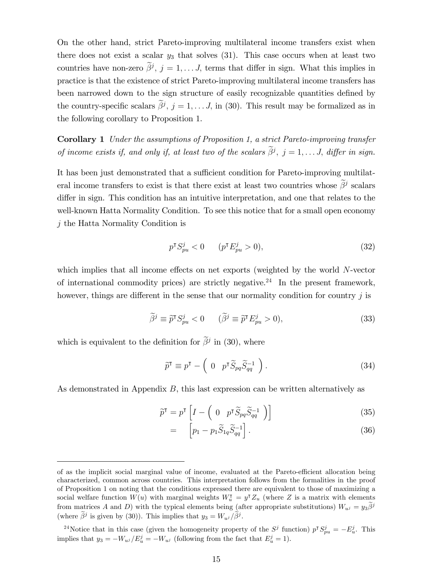On the other hand, strict Pareto-improving multilateral income transfers exist when there does not exist a scalar  $y_3$  that solves (31). This case occurs when at least two countries have non-zero  $\beta^j$ ,  $j = 1, \ldots, J$ , terms that differ in sign. What this implies in practice is that the existence of strict Pareto-improving multilateral income transfers has been narrowed down to the sign structure of easily recognizable quantities defined by the country-specific scalars  $\beta^j$ ,  $j = 1, \ldots J$ , in (30). This result may be formalized as in the following corollary to Proposition 1.

Corollary 1 Under the assumptions of Proposition 1, a strict Pareto-improving transfer of income exists if, and only if, at least two of the scalars  $\beta^j$ ,  $j = 1, \ldots, J$ , differ in sign.

It has been just demonstrated that a sufficient condition for Pareto-improving multilateral income transfers to exist is that there exist at least two countries whose  $\beta^j$  scalars differ in sign. This condition has an intuitive interpretation, and one that relates to the well-known Hatta Normality Condition. To see this notice that for a small open economy j the Hatta Normality Condition is

$$
p^{\mathsf{T}} S_{pu}^j < 0 \qquad (p^{\mathsf{T}} E_{pu}^j > 0),\tag{32}
$$

which implies that all income effects on net exports (weighted by the world  $N$ -vector of international commodity prices) are strictly negative.<sup>24</sup> In the present framework, however, things are different in the sense that our normality condition for country  $j$  is

$$
\widetilde{\beta}^j \equiv \widetilde{p}^{\mathsf{T}} S_{pu}^j < 0 \qquad (\widetilde{\beta}^j \equiv \widetilde{p}^{\mathsf{T}} E_{pu}^j > 0), \tag{33}
$$

which is equivalent to the definition for  $\beta^j$  in (30), where

$$
\widetilde{p}^{\mathsf{T}} \equiv p^{\mathsf{T}} - \begin{pmatrix} 0 & p^{\mathsf{T}} \widetilde{S}_{pq} \widetilde{S}_{qq}^{-1} \end{pmatrix} . \tag{34}
$$

As demonstrated in Appendix B, this last expression can be written alternatively as

$$
\widetilde{p}^{\mathsf{T}} = p^{\mathsf{T}} \left[ I - \begin{pmatrix} 0 & p^{\mathsf{T}} \widetilde{S}_{pq} \widetilde{S}_{qq}^{-1} \end{pmatrix} \right] \tag{35}
$$

$$
= \left[ p_1 - p_1 \widetilde{S}_{1q} \widetilde{S}_{qq}^{-1} \right]. \tag{36}
$$

of as the implicit social marginal value of income, evaluated at the Pareto-efficient allocation being characterized, common across countries. This interpretation follows from the formalities in the proof of Proposition 1 on noting that the conditions expressed there are equivalent to those of maximizing a social welfare function  $W(u)$  with marginal weights  $W_u^{\dagger} = y^{\dagger} Z_u$  (where Z is a matrix with elements from matrices A and D) with the typical elements being (after appropriate substitutions)  $W_{u} = y_3 \tilde{\beta}^j$ (where  $\hat{\beta}^j$  is given by (30)). This implies that  $y_3 = W_{ui}/\hat{\beta}^j$ .

<sup>&</sup>lt;sup>24</sup>Notice that in this case (given the homogeneity property of the  $S^j$  function)  $p^{\intercal} S^j_{pu} = -E^j_u$ . This implies that  $y_3 = -W_{u} / E_u^j = -W_{u}$  (following from the fact that  $E_u^j = 1$ ).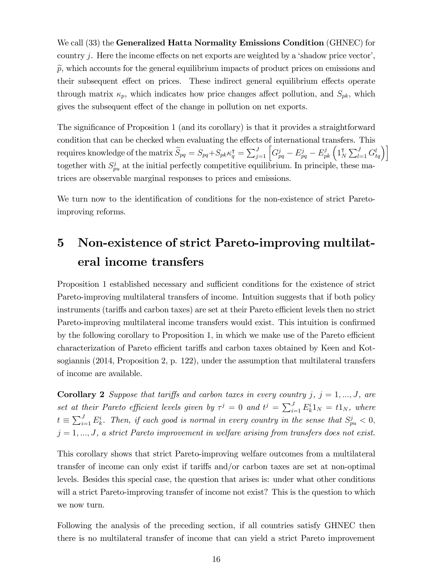We call (33) the Generalized Hatta Normality Emissions Condition (GHNEC) for country  $j$ . Here the income effects on net exports are weighted by a 'shadow price vector',  $\tilde{p}$ , which accounts for the general equilibrium impacts of product prices on emissions and their subsequent effect on prices. These indirect general equilibrium effects operate through matrix  $\kappa_p$ , which indicates how price changes affect pollution, and  $S_{pk}$ , which gives the subsequent effect of the change in pollution on net exports.

The significance of Proposition 1 (and its corollary) is that it provides a straightforward condition that can be checked when evaluating the effects of international transfers. This requires knowledge of the matrix  $\widetilde{S}_{pq} = S_{pq} + S_{pk} \kappa_q^{\intercal} = \sum_{j=1}^{J} \left[ G_{pq}^j - E_{pq}^j - E_{pk}^j \left( 1_N^{\intercal} \right) \right]$  $\left[\sum_{l=1}^{J} G_{tq}^{l}\right]$ together with  $S_{pu}^j$  at the initial perfectly competitive equilibrium. In principle, these matrices are observable marginal responses to prices and emissions.

We turn now to the identification of conditions for the non-existence of strict Paretoimproving reforms.

# 5 Non-existence of strict Pareto-improving multilateral income transfers

Proposition 1 established necessary and sufficient conditions for the existence of strict Pareto-improving multilateral transfers of income. Intuition suggests that if both policy instruments (tariffs and carbon taxes) are set at their Pareto efficient levels then no strict Pareto-improving multilateral income transfers would exist. This intuition is confirmed by the following corollary to Proposition 1, in which we make use of the Pareto efficient characterization of Pareto efficient tariffs and carbon taxes obtained by Keen and Kotsogiannis (2014, Proposition 2, p. 122), under the assumption that multilateral transfers of income are available.

**Corollary 2** Suppose that tariffs and carbon taxes in every country j,  $j = 1, ..., J$ , are set at their Pareto efficient levels given by  $\tau^{j} = 0$  and  $t^{j} = \sum_{i=1}^{J} E_{k}^{i} 1_{N} = t 1_{N}$ , where  $t \equiv \sum_{i=1}^{J} E_k^i$ . Then, if each good is normal in every country in the sense that  $S_{pu}^j < 0$ ,  $j = 1, ..., J$ , a strict Pareto improvement in welfare arising from transfers does not exist.

This corollary shows that strict Pareto-improving welfare outcomes from a multilateral transfer of income can only exist if tari§s and/or carbon taxes are set at non-optimal levels. Besides this special case, the question that arises is: under what other conditions will a strict Pareto-improving transfer of income not exist? This is the question to which we now turn.

Following the analysis of the preceding section, if all countries satisfy GHNEC then there is no multilateral transfer of income that can yield a strict Pareto improvement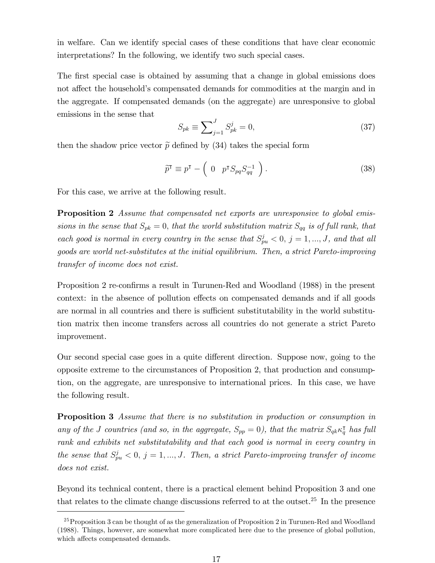in welfare. Can we identify special cases of these conditions that have clear economic interpretations? In the following, we identify two such special cases.

The first special case is obtained by assuming that a change in global emissions does not affect the household's compensated demands for commodities at the margin and in the aggregate. If compensated demands (on the aggregate) are unresponsive to global emissions in the sense that

$$
S_{pk} \equiv \sum_{j=1}^{J} S_{pk}^{j} = 0,
$$
\n(37)

then the shadow price vector  $\tilde{p}$  defined by (34) takes the special form

$$
\widetilde{p}^{\mathsf{T}} \equiv p^{\mathsf{T}} - \begin{pmatrix} 0 & p^{\mathsf{T}} S_{pq} S_{qq}^{-1} \end{pmatrix}.
$$
 (38)

For this case, we arrive at the following result.

**Proposition 2** Assume that compensated net exports are unresponsive to global emissions in the sense that  $S_{pk} = 0$ , that the world substitution matrix  $S_{qq}$  is of full rank, that each good is normal in every country in the sense that  $S_{pu}^j < 0$ ,  $j = 1, ..., J$ , and that all goods are world net-substitutes at the initial equilibrium. Then, a strict Pareto-improving transfer of income does not exist.

Proposition 2 re-confirms a result in Turunen-Red and Woodland (1988) in the present context: in the absence of pollution effects on compensated demands and if all goods are normal in all countries and there is sufficient substitutability in the world substitution matrix then income transfers across all countries do not generate a strict Pareto improvement.

Our second special case goes in a quite different direction. Suppose now, going to the opposite extreme to the circumstances of Proposition 2, that production and consumption, on the aggregate, are unresponsive to international prices. In this case, we have the following result.

**Proposition 3** Assume that there is no substitution in production or consumption in any of the J countries (and so, in the aggregate,  $S_{pp} = 0$ ), that the matrix  $S_{qk} \kappa_{q}^{\dagger}$  has full rank and exhibits net substitutability and that each good is normal in every country in the sense that  $S_{pu}^j < 0, j = 1, ..., J$ . Then, a strict Pareto-improving transfer of income does not exist.

Beyond its technical content, there is a practical element behind Proposition 3 and one that relates to the climate change discussions referred to at the outset.<sup>25</sup> In the presence

 $^{25}$ Proposition 3 can be thought of as the generalization of Proposition 2 in Turunen-Red and Woodland (1988). Things, however, are somewhat more complicated here due to the presence of global pollution, which affects compensated demands.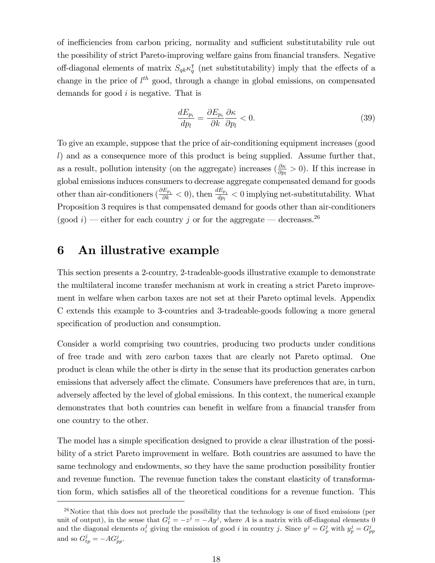of inefficiencies from carbon pricing, normality and sufficient substitutability rule out the possibility of strict Pareto-improving welfare gains from financial transfers. Negative off-diagonal elements of matrix  $S_{q_k} \kappa_q^{\dagger}$  (net substitutability) imply that the effects of a change in the price of  $l^{th}$  good, through a change in global emissions, on compensated demands for good i is negative. That is

$$
\frac{dE_{p_i}}{dp_l} = \frac{\partial E_{p_i}}{\partial k} \frac{\partial \kappa}{\partial p_l} < 0. \tag{39}
$$

To give an example, suppose that the price of air-conditioning equipment increases (good l) and as a consequence more of this product is being supplied. Assume further that, as a result, pollution intensity (on the aggregate) increases  $(\frac{\partial \kappa}{\partial p_l} > 0)$ . If this increase in global emissions induces consumers to decrease aggregate compensated demand for goods other than air-conditioners  $(\frac{\partial E_{p_i}}{\partial k} < 0)$ , then  $\frac{dE_{p_i}}{dp_l} < 0$  implying net-substitutability. What Proposition 3 requires is that compensated demand for goods other than air-conditioners (good i) – either for each country j or for the aggregate – decreases.<sup>26</sup>

### 6 An illustrative example

This section presents a 2-country, 2-tradeable-goods illustrative example to demonstrate the multilateral income transfer mechanism at work in creating a strict Pareto improvement in welfare when carbon taxes are not set at their Pareto optimal levels. Appendix C extends this example to 3-countries and 3-tradeable-goods following a more general specification of production and consumption.

Consider a world comprising two countries, producing two products under conditions of free trade and with zero carbon taxes that are clearly not Pareto optimal. One product is clean while the other is dirty in the sense that its production generates carbon emissions that adversely affect the climate. Consumers have preferences that are, in turn, adversely affected by the level of global emissions. In this context, the numerical example demonstrates that both countries can benefit in welfare from a financial transfer from one country to the other.

The model has a simple specification designed to provide a clear illustration of the possibility of a strict Pareto improvement in welfare. Both countries are assumed to have the same technology and endowments, so they have the same production possibility frontier and revenue function. The revenue function takes the constant elasticity of transformation form, which satisfies all of the theoretical conditions for a revenue function. This

 $^{26}$ Notice that this does not preclude the possibility that the technology is one of fixed emissions (per unit of output), in the sense that  $G_t^j = -z^j = -Ay^j$ , where A is a matrix with off-diagonal elements 0 and the diagonal elements  $\alpha_i^j$  giving the emission of good i in country j. Since  $y^j = G_p^j$  with  $y_p^j = G_{pp}^j$ and so  $G_{tp}^j = -AG_{pp}^j$ .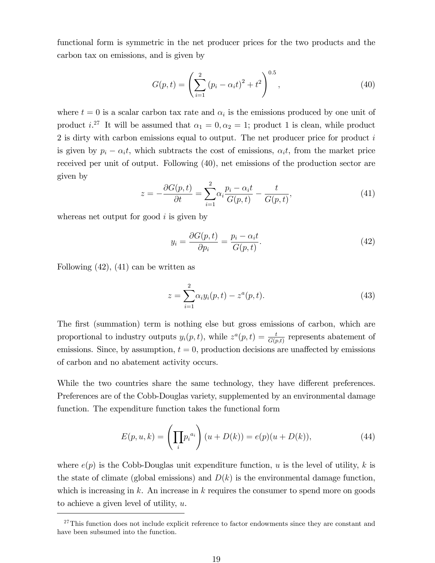functional form is symmetric in the net producer prices for the two products and the carbon tax on emissions, and is given by

$$
G(p,t) = \left(\sum_{i=1}^{2} (p_i - \alpha_i t)^2 + t^2\right)^{0.5},
$$
\n(40)

where  $t = 0$  is a scalar carbon tax rate and  $\alpha_i$  is the emissions produced by one unit of product i.<sup>27</sup> It will be assumed that  $\alpha_1 = 0, \alpha_2 = 1$ ; product 1 is clean, while product  $2$  is dirty with carbon emissions equal to output. The net producer price for product  $i$ is given by  $p_i - \alpha_i t$ , which subtracts the cost of emissions,  $\alpha_i t$ , from the market price received per unit of output. Following (40), net emissions of the production sector are given by

$$
z = -\frac{\partial G(p,t)}{\partial t} = \sum_{i=1}^{2} \alpha_i \frac{p_i - \alpha_i t}{G(p,t)} - \frac{t}{G(p,t)},\tag{41}
$$

whereas net output for good  $i$  is given by

$$
y_i = \frac{\partial G(p, t)}{\partial p_i} = \frac{p_i - \alpha_i t}{G(p, t)}.
$$
\n(42)

Following (42), (41) can be written as

$$
z = \sum_{i=1}^{2} \alpha_i y_i(p, t) - z^a(p, t).
$$
 (43)

The first (summation) term is nothing else but gross emissions of carbon, which are proportional to industry outputs  $y_i(p, t)$ , while  $z^a(p, t) = \frac{t}{G(p, t)}$  represents abatement of emissions. Since, by assumption,  $t = 0$ , production decisions are unaffected by emissions of carbon and no abatement activity occurs.

While the two countries share the same technology, they have different preferences. Preferences are of the Cobb-Douglas variety, supplemented by an environmental damage function. The expenditure function takes the functional form

$$
E(p, u, k) = \left(\prod_{i} p_i^{a_i}\right)(u + D(k)) = e(p)(u + D(k)),
$$
\n(44)

where  $e(p)$  is the Cobb-Douglas unit expenditure function, u is the level of utility, k is the state of climate (global emissions) and  $D(k)$  is the environmental damage function, which is increasing in  $k$ . An increase in  $k$  requires the consumer to spend more on goods to achieve a given level of utility, u.

<sup>&</sup>lt;sup>27</sup>This function does not include explicit reference to factor endowments since they are constant and have been subsumed into the function.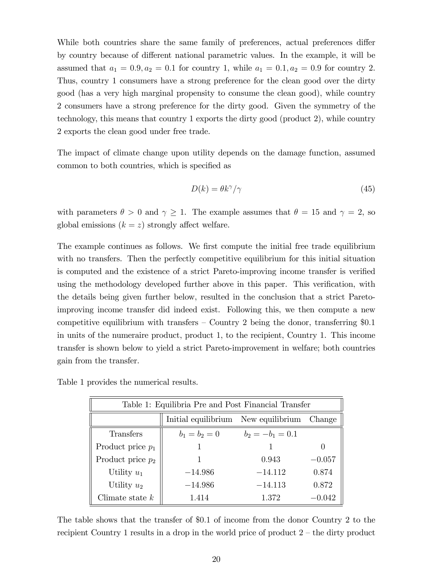While both countries share the same family of preferences, actual preferences differ by country because of different national parametric values. In the example, it will be assumed that  $a_1 = 0.9, a_2 = 0.1$  for country 1, while  $a_1 = 0.1, a_2 = 0.9$  for country 2. Thus, country 1 consumers have a strong preference for the clean good over the dirty good (has a very high marginal propensity to consume the clean good), while country 2 consumers have a strong preference for the dirty good. Given the symmetry of the technology, this means that country 1 exports the dirty good (product 2), while country 2 exports the clean good under free trade.

The impact of climate change upon utility depends on the damage function, assumed common to both countries, which is specified as

$$
D(k) = \theta k^{\gamma}/\gamma \tag{45}
$$

with parameters  $\theta > 0$  and  $\gamma \ge 1$ . The example assumes that  $\theta = 15$  and  $\gamma = 2$ , so global emissions  $(k = z)$  strongly affect welfare.

The example continues as follows. We first compute the initial free trade equilibrium with no transfers. Then the perfectly competitive equilibrium for this initial situation is computed and the existence of a strict Pareto-improving income transfer is verified using the methodology developed further above in this paper. This verification, with the details being given further below, resulted in the conclusion that a strict Paretoimproving income transfer did indeed exist. Following this, we then compute a new competitive equilibrium with transfers  $\sim$  Country 2 being the donor, transferring \$0.1 in units of the numeraire product, product 1, to the recipient, Country 1. This income transfer is shown below to yield a strict Pareto-improvement in welfare; both countries gain from the transfer.

| Table 1: Equilibria Pre and Post Financial Transfer |                                     |                    |          |
|-----------------------------------------------------|-------------------------------------|--------------------|----------|
|                                                     | Initial equilibrium New equilibrium |                    | Change   |
| Transfers                                           | $b_1 = b_2 = 0$                     | $b_2 = -b_1 = 0.1$ |          |
| Product price $p_1$                                 |                                     |                    | $\theta$ |
| Product price $p_2$                                 |                                     | 0.943              | $-0.057$ |
| Utility $u_1$                                       | $-14.986$                           | $-14.112$          | 0.874    |
| Utility $u_2$                                       | $-14.986$                           | $-14.113$          | 0.872    |
| Climate state $k$                                   | 1.414                               | 1.372              | $-0.042$ |

Table 1 provides the numerical results.

The table shows that the transfer of \$0:1 of income from the donor Country 2 to the recipient Country 1 results in a drop in the world price of product  $2 -$  the dirty product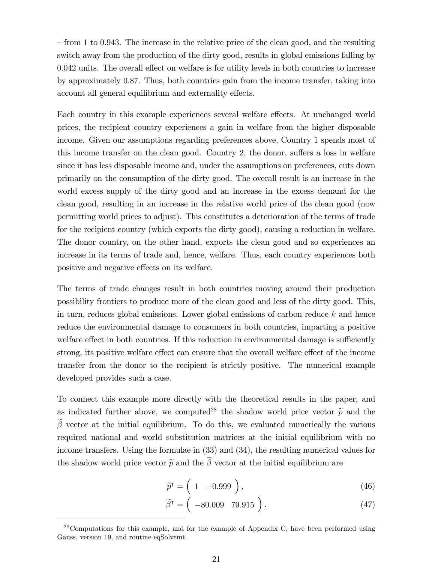$f$  from 1 to 0.943. The increase in the relative price of the clean good, and the resulting switch away from the production of the dirty good, results in global emissions falling by  $0.042$  units. The overall effect on welfare is for utility levels in both countries to increase by approximately 0:87. Thus, both countries gain from the income transfer, taking into account all general equilibrium and externality effects.

Each country in this example experiences several welfare effects. At unchanged world prices, the recipient country experiences a gain in welfare from the higher disposable income. Given our assumptions regarding preferences above, Country 1 spends most of this income transfer on the clean good. Country 2, the donor, suffers a loss in welfare since it has less disposable income and, under the assumptions on preferences, cuts down primarily on the consumption of the dirty good. The overall result is an increase in the world excess supply of the dirty good and an increase in the excess demand for the clean good, resulting in an increase in the relative world price of the clean good (now permitting world prices to adjust). This constitutes a deterioration of the terms of trade for the recipient country (which exports the dirty good), causing a reduction in welfare. The donor country, on the other hand, exports the clean good and so experiences an increase in its terms of trade and, hence, welfare. Thus, each country experiences both positive and negative effects on its welfare.

The terms of trade changes result in both countries moving around their production possibility frontiers to produce more of the clean good and less of the dirty good. This, in turn, reduces global emissions. Lower global emissions of carbon reduce  $k$  and hence reduce the environmental damage to consumers in both countries, imparting a positive welfare effect in both countries. If this reduction in environmental damage is sufficiently strong, its positive welfare effect can ensure that the overall welfare effect of the income transfer from the donor to the recipient is strictly positive. The numerical example developed provides such a case.

To connect this example more directly with the theoretical results in the paper, and as indicated further above, we computed<sup>28</sup> the shadow world price vector  $\tilde{p}$  and the  $\tilde{\beta}$  vector at the initial equilibrium. To do this, we evaluated numerically the various required national and world substitution matrices at the initial equilibrium with no income transfers. Using the formulae in (33) and (34), the resulting numerical values for the shadow world price vector  $\tilde{p}$  and the  $\beta$  vector at the initial equilibrium are

$$
\widetilde{p}^{\mathsf{T}} = \left( 1 \quad -0.999 \right), \tag{46}
$$

$$
\widetilde{\beta}^{\mathsf{T}} = \left( -80.009 \quad 79.915 \right). \tag{47}
$$

 $28$ Computations for this example, and for the example of Appendix C, have been performed using Gauss, version 19, and routine eqSolvemt.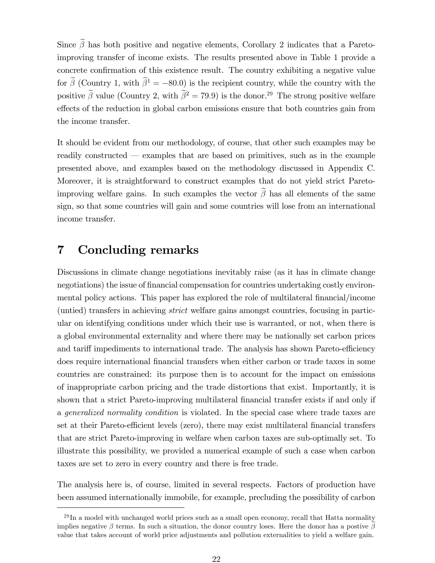Since  $\tilde{\beta}$  has both positive and negative elements, Corollary 2 indicates that a Paretoimproving transfer of income exists. The results presented above in Table 1 provide a concrete confirmation of this existence result. The country exhibiting a negative value for  $\tilde{\beta}$  (Country 1, with  $\tilde{\beta}^1 = -80.0$ ) is the recipient country, while the country with the positive  $\tilde{\beta}$  value (Country 2, with  $\tilde{\beta}^2 = 79.9$ ) is the donor.<sup>29</sup> The strong positive welfare effects of the reduction in global carbon emissions ensure that both countries gain from the income transfer.

It should be evident from our methodology, of course, that other such examples may be readily constructed  $-$  examples that are based on primitives, such as in the example presented above, and examples based on the methodology discussed in Appendix C. Moreover, it is straightforward to construct examples that do not yield strict Paretoimproving welfare gains. In such examples the vector  $\beta$  has all elements of the same sign, so that some countries will gain and some countries will lose from an international income transfer.

#### 7 Concluding remarks

Discussions in climate change negotiations inevitably raise (as it has in climate change negotiations) the issue of financial compensation for countries undertaking costly environmental policy actions. This paper has explored the role of multilateral financial/income (untied) transfers in achieving strict welfare gains amongst countries, focusing in particular on identifying conditions under which their use is warranted, or not, when there is a global environmental externality and where there may be nationally set carbon prices and tariff impediments to international trade. The analysis has shown Pareto-efficiency does require international Önancial transfers when either carbon or trade taxes in some countries are constrained: its purpose then is to account for the impact on emissions of inappropriate carbon pricing and the trade distortions that exist. Importantly, it is shown that a strict Pareto-improving multilateral financial transfer exists if and only if a generalized normality condition is violated. In the special case where trade taxes are set at their Pareto-efficient levels (zero), there may exist multilateral financial transfers that are strict Pareto-improving in welfare when carbon taxes are sub-optimally set. To illustrate this possibility, we provided a numerical example of such a case when carbon taxes are set to zero in every country and there is free trade.

The analysis here is, of course, limited in several respects. Factors of production have been assumed internationally immobile, for example, precluding the possibility of carbon

 $^{29}$ In a model with unchanged world prices such as a small open economy, recall that Hatta normality implies negative  $\beta$  terms. In such a situation, the donor country loses. Here the donor has a postive  $\beta$ value that takes account of world price adjustments and pollution externalities to yield a welfare gain.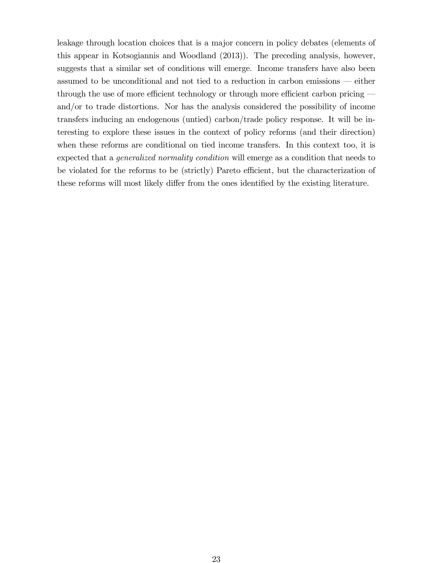leakage through location choices that is a major concern in policy debates (elements of this appear in Kotsogiannis and Woodland (2013)). The preceding analysis, however, suggests that a similar set of conditions will emerge. Income transfers have also been assumed to be unconditional and not tied to a reduction in carbon emissions  $-$  either through the use of more efficient technology or through more efficient carbon pricing  $$ and/or to trade distortions. Nor has the analysis considered the possibility of income transfers inducing an endogenous (untied) carbon/trade policy response. It will be interesting to explore these issues in the context of policy reforms (and their direction) when these reforms are conditional on tied income transfers. In this context too, it is expected that a generalized normality condition will emerge as a condition that needs to be violated for the reforms to be (strictly) Pareto efficient, but the characterization of these reforms will most likely differ from the ones identified by the existing literature.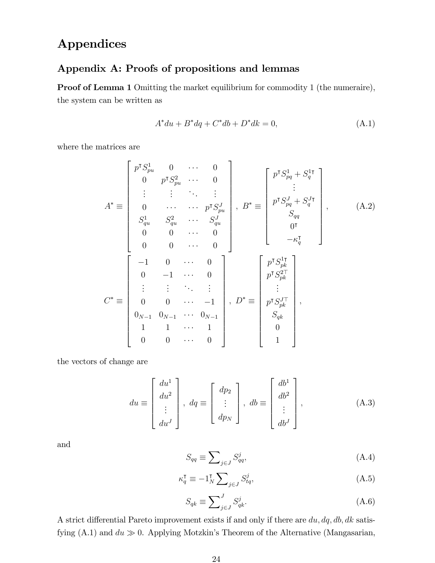## Appendices

### Appendix A: Proofs of propositions and lemmas

Proof of Lemma 1 Omitting the market equilibrium for commodity 1 (the numeraire), the system can be written as

$$
A^* du + B^* dq + C^* db + D^* dk = 0,
$$
\n(A.1)

where the matrices are

$$
A^* \equiv \begin{bmatrix} p^T S_{pu}^1 & 0 & \cdots & 0 \\ 0 & p^T S_{pu}^2 & \cdots & 0 \\ \vdots & \vdots & \ddots & \vdots \\ 0 & \cdots & \cdots & p^T S_{pu}^J \\ S_{qu}^1 & S_{qu}^2 & \cdots & S_{qu}^J \\ 0 & 0 & \cdots & 0 \\ 0 & 0 & \cdots & 0 \end{bmatrix}, B^* \equiv \begin{bmatrix} p^T S_{pq}^1 + S_q^{1\intercal} \\ \vdots \\ p^T S_{pq}^J + S_q^{J\intercal} \\ S_{qq} \\ 0 \\ 0 \\ 0 \\ -\kappa_q^T \end{bmatrix}, \qquad (A.2)
$$

$$
C^* \equiv \begin{bmatrix} -1 & 0 & \cdots & 0 \\ 0 & -1 & \cdots & 0 \\ 0 & 0 & \cdots & -1 \\ \vdots & \vdots & \ddots & \vdots \\ 0 & 0 & \cdots & -1 \\ 0 \\ 0 \\ 0 \\ 0 \\ 0 \\ 0 \\ \end{bmatrix}, D^* \equiv \begin{bmatrix} p^T S_{pq}^1 \\ S_{pq}^1 \\ p^T S_{pk}^{2\intercal} \\ \vdots \\ p^T S_{pk}^{J\intercal} \\ S_{qh} \\ S_{qh} \\ 0 \\ 1 \\ \end{bmatrix}, \qquad (A.2)
$$

the vectors of change are

$$
du \equiv \begin{bmatrix} du^1 \\ du^2 \\ \vdots \\ du^J \end{bmatrix}, \ dq \equiv \begin{bmatrix} dp_2 \\ \vdots \\ dp_N \end{bmatrix}, \ db \equiv \begin{bmatrix} db^1 \\ db^2 \\ \vdots \\ db^J \end{bmatrix}, \tag{A.3}
$$

and

$$
S_{qq} \equiv \sum_{j \in J} S_{qq}^j,\tag{A.4}
$$

$$
\kappa_q^{\mathsf{T}} \equiv -1_N^{\mathsf{T}} \sum_{j \in J} S_{tq}^j,\tag{A.5}
$$

$$
S_{qk} \equiv \sum_{j \in J}^{J} S_{qk}^{j}.
$$
\n(A.6)

A strict differential Pareto improvement exists if and only if there are  $du, dq, db, dk$  satisfying  $(A.1)$  and  $du \gg 0$ . Applying Motzkin's Theorem of the Alternative (Mangasarian,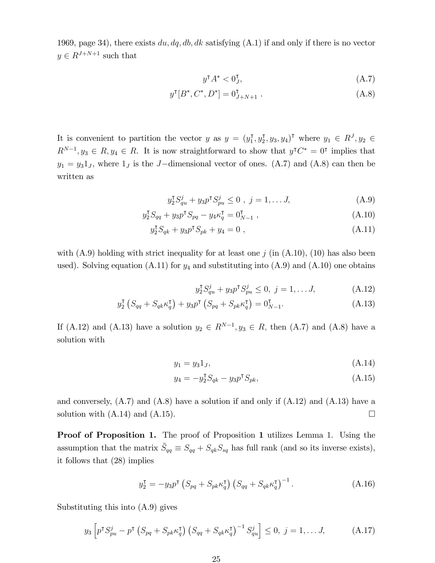1969, page 34), there exists  $du, dq, db, dk$  satisfying  $(A.1)$  if and only if there is no vector  $y \in R^{J+N+1}$  such that

$$
y^{\mathsf{T}}A^* < 0_J^{\mathsf{T}},\tag{A.7}
$$

$$
y^{\mathsf{T}}[B^*, C^*, D^*] = 0^{\mathsf{T}}_{J+N+1} . \tag{A.8}
$$

It is convenient to partition the vector y as  $y = (y_1^{\mathsf{T}}, y_2^{\mathsf{T}}, y_3, y_4)^{\mathsf{T}}$  where  $y_1 \in R^J, y_2 \in R^J$  $R^{N-1}, y_3 \in R, y_4 \in R$ . It is now straightforward to show that  $y^{\dagger} C^* = 0^{\dagger}$  implies that  $y_1 = y_3 1_J$ , where  $1_J$  is the J-dimensional vector of ones. (A.7) and (A.8) can then be written as

$$
y_2^{\mathsf{T}} S_{qu}^j + y_3 p^{\mathsf{T}} S_{pu}^j \le 0 \ , \ j = 1, \dots J, \tag{A.9}
$$

$$
y_2^{\mathsf{T}} S_{qq} + y_3 p^{\mathsf{T}} S_{pq} - y_4 \kappa_q^{\mathsf{T}} = 0_{N-1}^{\mathsf{T}} , \qquad (A.10)
$$

$$
y_2^{\mathsf{T}} S_{qk} + y_3 p^{\mathsf{T}} S_{pk} + y_4 = 0 \tag{A.11}
$$

with  $(A.9)$  holding with strict inequality for at least one j (in  $(A.10)$ , (10) has also been used). Solving equation  $(A.11)$  for  $y_4$  and substituting into  $(A.9)$  and  $(A.10)$  one obtains

$$
y_2^{\mathsf{T}} S_{qu}^j + y_3 p^{\mathsf{T}} S_{pu}^j \le 0, \ j = 1, \dots J,
$$
 (A.12)

$$
y_2^{\mathsf{T}}\left(S_{qq} + S_{qk}\kappa_q^{\mathsf{T}}\right) + y_3 p^{\mathsf{T}}\left(S_{pq} + S_{pk}\kappa_q^{\mathsf{T}}\right) = 0_{N-1}^{\mathsf{T}}.\tag{A.13}
$$

If (A.12) and (A.13) have a solution  $y_2 \in R^{N-1}$ ,  $y_3 \in R$ , then (A.7) and (A.8) have a solution with

$$
y_1 = y_3 1_J,\tag{A.14}
$$

$$
y_4 = -y_2^{\mathsf{T}} S_{qk} - y_3 p^{\mathsf{T}} S_{pk},\tag{A.15}
$$

and conversely,  $(A.7)$  and  $(A.8)$  have a solution if and only if  $(A.12)$  and  $(A.13)$  have a solution with  $(A.14)$  and  $(A.15)$ .

Proof of Proposition 1. The proof of Proposition 1 utilizes Lemma 1. Using the assumption that the matrix  $\tilde{S}_{qq} \equiv S_{qq} + S_{qk}S_{sq}$  has full rank (and so its inverse exists), it follows that (28) implies

$$
y_2^{\mathsf{T}} = -y_3 p^{\mathsf{T}} \left( S_{pq} + S_{pk} \kappa_q^{\mathsf{T}} \right) \left( S_{qq} + S_{qk} \kappa_q^{\mathsf{T}} \right)^{-1} . \tag{A.16}
$$

Substituting this into (A.9) gives

$$
y_3 \left[ p^{\mathsf{T}} S_{pu}^j - p^{\mathsf{T}} \left( S_{pq} + S_{pk} \kappa_q^{\mathsf{T}} \right) \left( S_{qq} + S_{qk} \kappa_q^{\mathsf{T}} \right)^{-1} S_{qu}^j \right] \leq 0, \ j = 1, \dots J,
$$
 (A.17)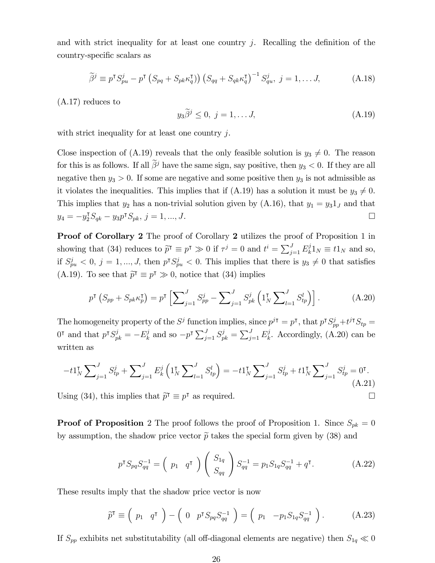and with strict inequality for at least one country j. Recalling the definition of the country-specific scalars as

$$
\widetilde{\beta}^j \equiv p^{\mathsf{T}} S_{pu}^j - p^{\mathsf{T}} \left( S_{pq} + S_{pk} \kappa_q^{\mathsf{T}} \right) \left( S_{qq} + S_{qk} \kappa_q^{\mathsf{T}} \right)^{-1} S_{qu}^j, \ j = 1, \dots J,
$$
\n(A.18)

(A.17) reduces to

$$
y_3\tilde{\beta}^j \le 0, \ j = 1, \dots J,\tag{A.19}
$$

with strict inequality for at least one country  $j$ .

Close inspection of (A.19) reveals that the only feasible solution is  $y_3 \neq 0$ . The reason for this is as follows. If all  $\tilde{\beta}^j$  have the same sign, say positive, then  $y_3 < 0$ . If they are all negative then  $y_3 > 0$ . If some are negative and some positive then  $y_3$  is not admissible as it violates the inequalities. This implies that if (A.19) has a solution it must be  $y_3 \neq 0$ . This implies that  $y_2$  has a non-trivial solution given by (A.16), that  $y_1 = y_3 1_J$  and that  $y_4 = -y_2^{\mathsf{T}} S_{qk} - y_3 p^{\mathsf{T}} S_{pk}, j = 1, ..., J.$ 

Proof of Corollary 2 The proof of Corollary 2 utilizes the proof of Proposition 1 in showing that (34) reduces to  $\tilde{p}^{\dagger} \equiv p^{\dagger} \gg 0$  if  $\tau^{j} = 0$  and  $t^{i} = \sum_{j=1}^{J} E_{k}^{j}$  $_{k}^{j}1_{N}\equiv t1_{N}$  and so, if  $S_{pu}^j < 0, j = 1, ..., J$ , then  $p^{\dagger} S_{pu}^j < 0$ . This implies that there is  $y_3 \neq 0$  that satisfies (A.19). To see that  $\tilde{p}^{\dagger} \equiv p^{\dagger} \gg 0$ , notice that (34) implies

$$
p^{\mathsf{T}}\left(S_{pp} + S_{pk} \kappa_p^{\mathsf{T}}\right) = p^{\mathsf{T}}\left[\sum_{j=1}^{J} S_{pp}^j - \sum_{j=1}^{J} S_{pk}^j \left(\mathbf{1}_N^{\mathsf{T}} \sum_{l=1}^{J} S_{tp}^l\right)\right].
$$
 (A.20)

The homogeneity property of the  $S^j$  function implies, since  $p^{j\tau} = p^{\tau}$ , that  $p^{\tau}S_{pp}^j + t^{j\tau}S_{tp} =$  $0^{\dagger}$  and that  $p^{\dagger} S_{pk}^j = -E_k^j$  $\sum_{j=1}^{j} S_{pk}^{j} = \sum_{j=1}^{J} E_{k}^{j}$  $\mu_k^j$ . Accordingly, (A.20) can be written as

$$
-t1_N^{\mathsf{T}}\sum\nolimits_{j=1}^J S_{tp}^j + \sum\nolimits_{j=1}^J E_k^j \left(1_N^{\mathsf{T}}\sum\nolimits_{l=1}^J S_{tp}^l\right) = -t1_N^{\mathsf{T}}\sum\nolimits_{j=1}^J S_{tp}^j + t1_N^{\mathsf{T}}\sum\nolimits_{j=1}^J S_{tp}^j = 0^{\mathsf{T}}.\tag{A.21}
$$

Using (34), this implies that  $\tilde{p}^{\dagger} \equiv p^{\dagger}$  as required.

**Proof of Proposition** 2 The proof follows the proof of Proposition 1. Since  $S_{pk} = 0$ by assumption, the shadow price vector  $\tilde{p}$  takes the special form given by (38) and

$$
p^{\mathsf{T}} S_{pq} S_{qq}^{-1} = \begin{pmatrix} p_1 & q^{\mathsf{T}} \end{pmatrix} \begin{pmatrix} S_{1q} \\ S_{qq} \end{pmatrix} S_{qq}^{-1} = p_1 S_{1q} S_{qq}^{-1} + q^{\mathsf{T}}.
$$
 (A.22)

These results imply that the shadow price vector is now

$$
\widetilde{p}^{\mathsf{T}} \equiv \left( p_1 \quad q^{\mathsf{T}} \right) - \left( 0 \quad p^{\mathsf{T}} S_{pq} S_{qq}^{-1} \right) = \left( p_1 \quad -p_1 S_{1q} S_{qq}^{-1} \right). \tag{A.23}
$$

If  $S_{pp}$  exhibits net substitutability (all off-diagonal elements are negative) then  $S_{1q} \ll 0$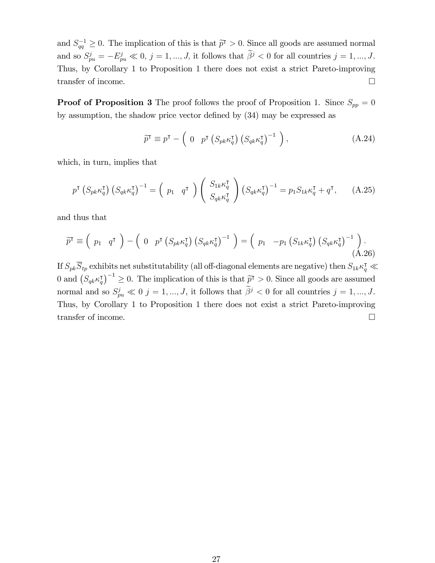and  $S_{qq}^{-1} \geq 0$ . The implication of this is that  $\tilde{p}^{\dagger} > 0$ . Since all goods are assumed normal and so  $S_{pu}^j = -E_{pu}^j \ll 0, j = 1, ..., J$ , it follows that  $\beta^j < 0$  for all countries  $j = 1, ..., J$ . Thus, by Corollary 1 to Proposition 1 there does not exist a strict Pareto-improving transfer of income.

**Proof of Proposition 3** The proof follows the proof of Proposition 1. Since  $S_{pp} = 0$ by assumption, the shadow price vector defined by  $(34)$  may be expressed as

$$
\widetilde{p}^{\mathsf{T}} \equiv p^{\mathsf{T}} - \begin{pmatrix} 0 & p^{\mathsf{T}} \left( S_{pk} \kappa_{q}^{\mathsf{T}} \right) \left( S_{qk} \kappa_{q}^{\mathsf{T}} \right)^{-1} \end{pmatrix},\tag{A.24}
$$

which, in turn, implies that

$$
p^{\mathsf{T}}\left(S_{pk}\kappa_{q}^{\mathsf{T}}\right)\left(S_{qk}\kappa_{q}^{\mathsf{T}}\right)^{-1} = \left(p_{1} \quad q^{\mathsf{T}}\right)\left(\begin{array}{c} S_{1k}\kappa_{q}^{\mathsf{T}}\\ S_{qk}\kappa_{q}^{\mathsf{T}} \end{array}\right)\left(S_{qk}\kappa_{q}^{\mathsf{T}}\right)^{-1} = p_{1}S_{1k}\kappa_{q}^{\mathsf{T}} + q^{\mathsf{T}},\tag{A.25}
$$

and thus that

$$
\widetilde{p}^{\mathsf{T}} \equiv \left( p_1 \quad q^{\mathsf{T}} \right) - \left( 0 \quad p^{\mathsf{T}} \left( S_{pk} \kappa_q^{\mathsf{T}} \right) \left( S_{qk} \kappa_q^{\mathsf{T}} \right)^{-1} \right) = \left( p_1 \quad -p_1 \left( S_{1k} \kappa_q^{\mathsf{T}} \right) \left( S_{qk} \kappa_q^{\mathsf{T}} \right)^{-1} \right). \tag{A.26}
$$

If  $S_{pk}\overline{S}_{tp}$  exhibits net substitutability (all off-diagonal elements are negative) then  $S_{1k}\kappa^{\intercal}_q \ll$ 0 and  $(S_{qk}\kappa_{q}^{\mathsf{T}})^{-1} \geq 0$ . The implication of this is that  $\widetilde{p}^{\mathsf{T}} > 0$ . Since all goods are assumed normal and so  $S_{pu}^j \ll 0$   $j = 1, ..., J$ , it follows that  $\beta^j < 0$  for all countries  $j = 1, ..., J$ . Thus, by Corollary 1 to Proposition 1 there does not exist a strict Pareto-improving transfer of income.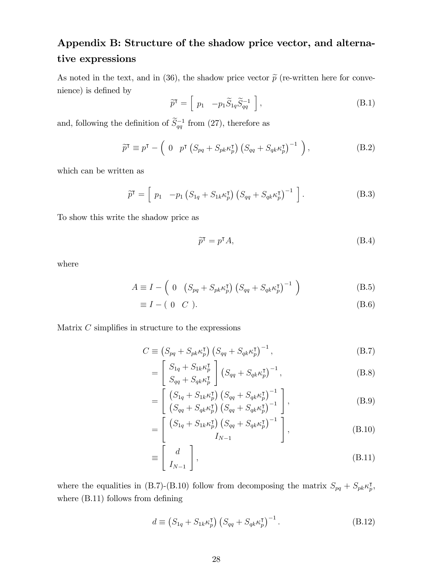## Appendix B: Structure of the shadow price vector, and alternative expressions

As noted in the text, and in (36), the shadow price vector  $\tilde{p}$  (re-written here for convenience) is defined by

$$
\widetilde{p}^{\mathsf{T}} = \left[ p_1 \quad -p_1 \widetilde{S}_{1q} \widetilde{S}_{qq}^{-1} \right],\tag{B.1}
$$

and, following the definition of  $\tilde{S}_{qq}^{-1}$  from (27), therefore as

$$
\widetilde{p}^{\mathsf{T}} \equiv p^{\mathsf{T}} - \left( 0 \quad p^{\mathsf{T}} \left( S_{pq} + S_{pk} \kappa_p^{\mathsf{T}} \right) \left( S_{qq} + S_{qk} \kappa_p^{\mathsf{T}} \right)^{-1} \right), \tag{B.2}
$$

which can be written as

$$
\widetilde{p}^{\mathsf{T}} = \left[ p_1 \quad -p_1 \left( S_{1q} + S_{1k} \kappa_p^{\mathsf{T}} \right) \left( S_{qq} + S_{qk} \kappa_p^{\mathsf{T}} \right)^{-1} \right]. \tag{B.3}
$$

To show this write the shadow price as

$$
\widetilde{p}^{\mathsf{T}} = p^{\mathsf{T}} A,\tag{B.4}
$$

where

$$
A \equiv I - \left( 0 \left( S_{pq} + S_{pk} \kappa_p^{\mathsf{T}} \right) \left( S_{qq} + S_{qk} \kappa_p^{\mathsf{T}} \right)^{-1} \right) \tag{B.5}
$$

$$
\equiv I - (0 \quad C). \tag{B.6}
$$

Matrix  $C$  simplifies in structure to the expressions

$$
C \equiv \left(S_{pq} + S_{pk} \kappa_p^{\mathsf{T}}\right) \left(S_{qq} + S_{qk} \kappa_p^{\mathsf{T}}\right)^{-1},\tag{B.7}
$$

$$
= \left[ \begin{array}{c} S_{1q} + S_{1k} \kappa_p^{\mathsf{T}} \\ S_{qq} + S_{qk} \kappa_p^{\mathsf{T}} \end{array} \right] \left( S_{qq} + S_{qk} \kappa_p^{\mathsf{T}} \right)^{-1}, \tag{B.8}
$$

$$
= \left[ \begin{array}{c} \left( S_{1q} + S_{1k} \kappa_p^{\mathsf{T}} \right) \left( S_{qq} + S_{qk} \kappa_p^{\mathsf{T}} \right)^{-1} \\ \left( S_{qq} + S_{qk} \kappa_p^{\mathsf{T}} \right) \left( S_{qq} + S_{qk} \kappa_p^{\mathsf{T}} \right)^{-1} \end{array} \right], \tag{B.9}
$$

$$
= \left[ \begin{array}{c} \left( S_{1q} + S_{1k} \kappa_p^{\mathsf{T}} \right) \left( S_{qq} + S_{qk} \kappa_p^{\mathsf{T}} \right)^{-1} \\ I_{N-1} \end{array} \right], \tag{B.10}
$$

$$
\equiv \left[ \begin{array}{c} d \\ I_{N-1} \end{array} \right],\tag{B.11}
$$

where the equalities in (B.7)-(B.10) follow from decomposing the matrix  $S_{pq} + S_{pk} \kappa_p^{\dagger}$ , where  $(B.11)$  follows from defining

$$
d \equiv \left(S_{1q} + S_{1k} \kappa_p^{\mathsf{T}}\right) \left(S_{qq} + S_{qk} \kappa_p^{\mathsf{T}}\right)^{-1}.\tag{B.12}
$$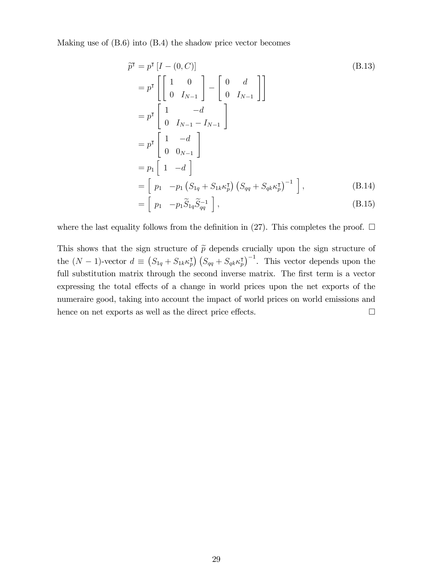Making use of (B.6) into (B.4) the shadow price vector becomes

$$
\tilde{p}^{\mathsf{T}} = p^{\mathsf{T}} \begin{bmatrix} I - (0, C) \end{bmatrix}
$$
\n
$$
= p^{\mathsf{T}} \begin{bmatrix} 1 & 0 \\ 0 & I_{N-1} \end{bmatrix} - \begin{bmatrix} 0 & d \\ 0 & I_{N-1} \end{bmatrix}
$$
\n
$$
= p^{\mathsf{T}} \begin{bmatrix} 1 & -d \\ 0 & I_{N-1} - I_{N-1} \end{bmatrix}
$$
\n
$$
= p^{\mathsf{T}} \begin{bmatrix} 1 & -d \\ 0 & 0_{N-1} \end{bmatrix}
$$
\n
$$
= p_1 \begin{bmatrix} 1 & -d \\ 1 & -d \end{bmatrix}
$$
\n
$$
= \begin{bmatrix} p_1 & -p_1 \left( S_{1q} + S_{1k} \kappa_p^{\mathsf{T}} \right) \left( S_{qq} + S_{qk} \kappa_p^{\mathsf{T}} \right)^{-1} \end{bmatrix},
$$
\n(B.14)\n
$$
= \begin{bmatrix} p_1 & p_1 \tilde{S} & \tilde{S}^{-1} \end{bmatrix}
$$

$$
= \left[ p_1 \quad -p_1 \widetilde{S}_{1q} \widetilde{S}_{qq}^{-1} \right], \tag{B.15}
$$

where the last equality follows from the definition in (27). This completes the proof.  $\Box$ 

This shows that the sign structure of  $\tilde{p}$  depends crucially upon the sign structure of the  $(N-1)$ -vector  $d \equiv (S_{1q} + S_{1k} \kappa_p^{\mathsf{T}}) (S_{qq} + S_{qk} \kappa_p^{\mathsf{T}})^{-1}$ . This vector depends upon the full substitution matrix through the second inverse matrix. The first term is a vector expressing the total effects of a change in world prices upon the net exports of the numeraire good, taking into account the impact of world prices on world emissions and hence on net exports as well as the direct price effects.  $\Box$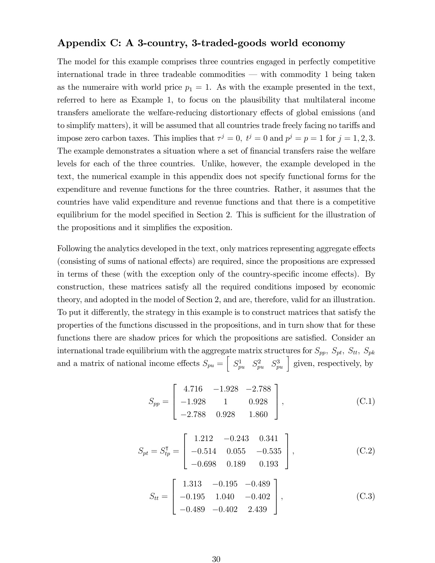#### Appendix C: A 3-country, 3-traded-goods world economy

The model for this example comprises three countries engaged in perfectly competitive international trade in three tradeable commodities  $\sim$  with commodity 1 being taken as the numeraire with world price  $p_1 = 1$ . As with the example presented in the text, referred to here as Example 1, to focus on the plausibility that multilateral income transfers ameliorate the welfare-reducing distortionary effects of global emissions (and to simplify matters), it will be assumed that all countries trade freely facing no tariffs and impose zero carbon taxes. This implies that  $\tau^j = 0$ ,  $t^j = 0$  and  $p^j = p = 1$  for  $j = 1, 2, 3$ . The example demonstrates a situation where a set of financial transfers raise the welfare levels for each of the three countries. Unlike, however, the example developed in the text, the numerical example in this appendix does not specify functional forms for the expenditure and revenue functions for the three countries. Rather, it assumes that the countries have valid expenditure and revenue functions and that there is a competitive equilibrium for the model specified in Section 2. This is sufficient for the illustration of the propositions and it simplifies the exposition.

Following the analytics developed in the text, only matrices representing aggregate effects (consisting of sums of national effects) are required, since the propositions are expressed in terms of these (with the exception only of the country-specific income effects). By construction, these matrices satisfy all the required conditions imposed by economic theory, and adopted in the model of Section 2, and are, therefore, valid for an illustration. To put it differently, the strategy in this example is to construct matrices that satisfy the properties of the functions discussed in the propositions, and in turn show that for these functions there are shadow prices for which the propositions are satisfied. Consider an international trade equilibrium with the aggregate matrix structures for  $S_{pp}$ ,  $S_{pt}$ ,  $S_{tt}$ ,  $S_{pk}$ and a matrix of national income effects  $S_{pu} = \begin{bmatrix} S_{pu}^1 & S_{pu}^2 & S_{pu}^3 \end{bmatrix}$  given, respectively, by

$$
S_{pp} = \begin{bmatrix} 4.716 & -1.928 & -2.788 \\ -1.928 & 1 & 0.928 \\ -2.788 & 0.928 & 1.860 \end{bmatrix},
$$
(C.1)

$$
S_{pt} = S_{tp}^{\mathsf{T}} = \begin{bmatrix} 1.212 & -0.243 & 0.341 \\ -0.514 & 0.055 & -0.535 \\ -0.698 & 0.189 & 0.193 \end{bmatrix},
$$
(C.2)

$$
S_{tt} = \begin{bmatrix} 1.313 & -0.195 & -0.489 \\ -0.195 & 1.040 & -0.402 \\ -0.489 & -0.402 & 2.439 \end{bmatrix},
$$
(C.3)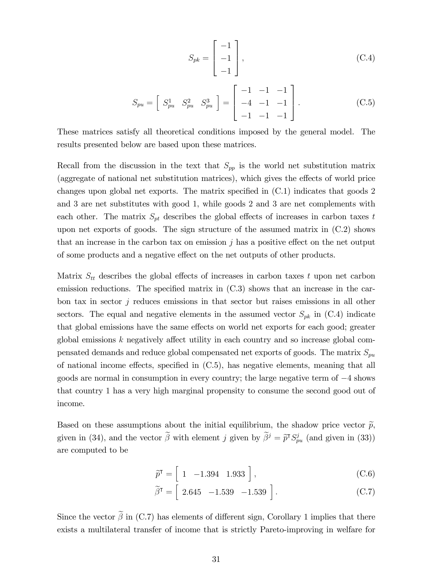$$
S_{pk} = \begin{bmatrix} -1 \\ -1 \\ -1 \end{bmatrix},
$$
\n(C.4)

$$
S_{pu} = \begin{bmatrix} S_{pu}^1 & S_{pu}^2 & S_{pu}^3 \end{bmatrix} = \begin{bmatrix} -1 & -1 & -1 \\ -4 & -1 & -1 \\ -1 & -1 & -1 \end{bmatrix} . \tag{C.5}
$$

These matrices satisfy all theoretical conditions imposed by the general model. The results presented below are based upon these matrices.

Recall from the discussion in the text that  $S_{pp}$  is the world net substitution matrix (aggregate of national net substitution matrices), which gives the effects of world price changes upon global net exports. The matrix specified in  $(C.1)$  indicates that goods 2 and 3 are net substitutes with good 1, while goods 2 and 3 are net complements with each other. The matrix  $S_{pt}$  describes the global effects of increases in carbon taxes t upon net exports of goods. The sign structure of the assumed matrix in (C.2) shows that an increase in the carbon tax on emission  $j$  has a positive effect on the net output of some products and a negative effect on the net outputs of other products.

Matrix  $S_{tt}$  describes the global effects of increases in carbon taxes t upon net carbon emission reductions. The specified matrix in  $(C.3)$  shows that an increase in the carbon tax in sector j reduces emissions in that sector but raises emissions in all other sectors. The equal and negative elements in the assumed vector  $S_{pk}$  in (C.4) indicate that global emissions have the same effects on world net exports for each good; greater global emissions  $k$  negatively affect utility in each country and so increase global compensated demands and reduce global compensated net exports of goods. The matrix  $S_{pu}$ of national income effects, specified in  $(C.5)$ , has negative elements, meaning that all goods are normal in consumption in every country; the large negative term of  $-4$  shows that country 1 has a very high marginal propensity to consume the second good out of income.

Based on these assumptions about the initial equilibrium, the shadow price vector  $\tilde{p}$ , given in (34), and the vector  $\beta$  with element j given by  $\beta^j = \tilde{p}^{\dagger} S_{pu}^j$  (and given in (33)) are computed to be

$$
\widetilde{p}^{\mathsf{T}} = \left[ \begin{array}{cc} 1 & -1.394 & 1.933 \end{array} \right],\tag{C.6}
$$

$$
\widetilde{\beta}^{\mathsf{T}} = \begin{bmatrix} 2.645 & -1.539 & -1.539 \end{bmatrix}.
$$
\n(C.7)

Since the vector  $\tilde{\beta}$  in (C.7) has elements of different sign, Corollary 1 implies that there exists a multilateral transfer of income that is strictly Pareto-improving in welfare for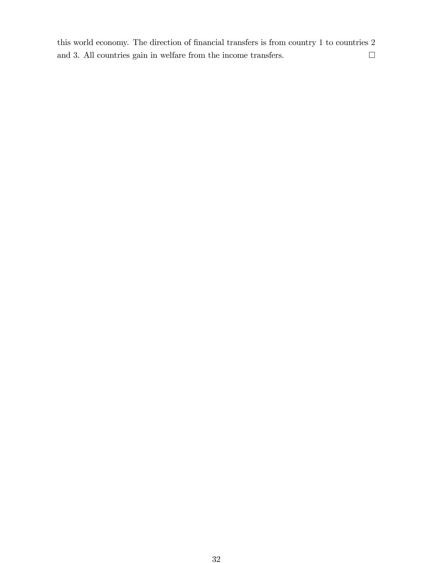this world economy. The direction of financial transfers is from country to countries  $2$ and 3. All countries gain in welfare from the income transfers.  $\hfill \Box$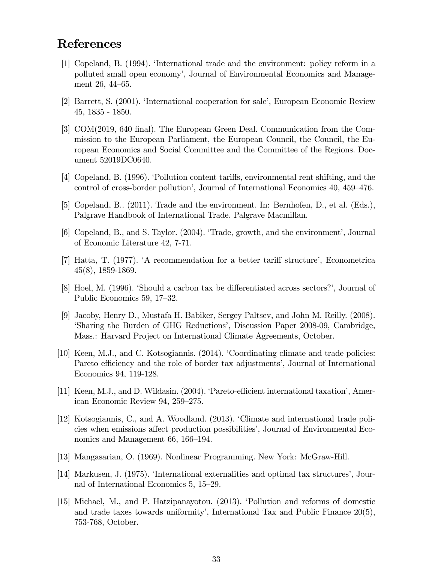### References

- [1] Copeland, B. (1994). ëInternational trade and the environment: policy reform in a polluted small open economyí, Journal of Environmental Economics and Management  $26, 44–65$ .
- [2] Barrett, S. (2001). 'International cooperation for sale', European Economic Review 45, 1835 - 1850.
- [3] COM(2019, 640 Önal). The European Green Deal. Communication from the Commission to the European Parliament, the European Council, the Council, the European Economics and Social Committee and the Committee of the Regions. Document 52019DC0640.
- [4] Copeland, B. (1996). Pollution content tariffs, environmental rent shifting, and the control of cross-border pollution<sup>7</sup>, Journal of International Economics 40, 459–476.
- [5] Copeland, B.. (2011). Trade and the environment. In: Bernhofen, D., et al. (Eds.), Palgrave Handbook of International Trade. Palgrave Macmillan.
- [6] Copeland, B., and S. Taylor. (2004). 'Trade, growth, and the environment', Journal of Economic Literature 42, 7-71.
- [7] Hatta, T.  $(1977)$ .  $A$  recommendation for a better tariff structure', Econometrica 45(8), 1859-1869.
- [8] Hoel, M. (1996). Should a carbon tax be differentiated across sectors?, Journal of Public Economics 59, 17–32.
- [9] Jacoby, Henry D., Mustafa H. Babiker, Sergey Paltsev, and John M. Reilly. (2008). Sharing the Burden of GHG Reductions', Discussion Paper 2008-09, Cambridge, Mass.: Harvard Project on International Climate Agreements, October.
- [10] Keen, M.J., and C. Kotsogiannis. (2014). 'Coordinating climate and trade policies: Pareto efficiency and the role of border tax adjustments<sup>2</sup>, Journal of International Economics 94, 119-128.
- [11] Keen, M.J., and D. Wildasin. (2004). Pareto-efficient international taxation<sup>'</sup>, American Economic Review 94, 259–275.
- [12] Kotsogiannis, C., and A. Woodland. (2013). ëClimate and international trade policies when emissions affect production possibilities<sup>'</sup>, Journal of Environmental Economics and Management 66, 166–194.
- [13] Mangasarian, O. (1969). Nonlinear Programming. New York: McGraw-Hill.
- [14] Markusen, J. (1975). 'International externalities and optimal tax structures', Journal of International Economics  $5, 15-29$ .
- [15] Michael, M., and P. Hatzipanayotou. (2013). ëPollution and reforms of domestic and trade taxes towards uniformity', International Tax and Public Finance  $20(5)$ , 753-768, October.